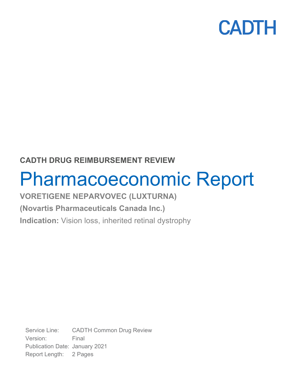

## **CADTH DRUG REIMBURSEMENT REVIEW**

# Pharmacoeconomic Report

# **VORETIGENE NEPARVOVEC (LUXTURNA)**

## **(Novartis Pharmaceuticals Canada Inc.)**

**Indication:** Vision loss, inherited retinal dystrophy

Service Line: CADTH Common Drug Review Version: Final Publication Date: January 2021 Report Length: 2 Pages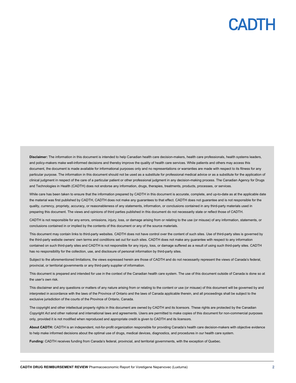**Disclaimer:** The information in this document is intended to help Canadian health care decision-makers, health care professionals, health systems leaders, and policy-makers make well-informed decisions and thereby improve the quality of health care services. While patients and others may access this document, the document is made available for informational purposes only and no representations or warranties are made with respect to its fitness for any particular purpose. The information in this document should not be used as a substitute for professional medical advice or as a substitute for the application of clinical judgment in respect of the care of a particular patient or other professional judgment in any decision-making process. The Canadian Agency for Drugs and Technologies in Health (CADTH) does not endorse any information, drugs, therapies, treatments, products, processes, or services.

While care has been taken to ensure that the information prepared by CADTH in this document is accurate, complete, and up-to-date as at the applicable date the material was first published by CADTH, CADTH does not make any guarantees to that effect. CADTH does not guarantee and is not responsible for the quality, currency, propriety, accuracy, or reasonableness of any statements, information, or conclusions contained in any third-party materials used in preparing this document. The views and opinions of third parties published in this document do not necessarily state or reflect those of CADTH.

CADTH is not responsible for any errors, omissions, injury, loss, or damage arising from or relating to the use (or misuse) of any information, statements, or conclusions contained in or implied by the contents of this document or any of the source materials.

This document may contain links to third-party websites. CADTH does not have control over the content of such sites. Use of third-party sites is governed by the third-party website owners' own terms and conditions set out for such sites. CADTH does not make any guarantee with respect to any information contained on such third-party sites and CADTH is not responsible for any injury, loss, or damage suffered as a result of using such third-party sites. CADTH has no responsibility for the collection, use, and disclosure of personal information by third-party sites.

Subject to the aforementioned limitations, the views expressed herein are those of CADTH and do not necessarily represent the views of Canada's federal, provincial, or territorial governments or any third-party supplier of information.

This document is prepared and intended for use in the context of the Canadian health care system. The use of this document outside of Canada is done so at the user's own risk.

This disclaimer and any questions or matters of any nature arising from or relating to the content or use (or misuse) of this document will be governed by and interpreted in accordance with the laws of the Province of Ontario and the laws of Canada applicable therein, and all proceedings shall be subject to the exclusive jurisdiction of the courts of the Province of Ontario, Canada.

The copyright and other intellectual property rights in this document are owned by CADTH and its licensors. These rights are protected by the Canadian *Copyright Act* and other national and international laws and agreements. Users are permitted to make copies of this document for non-commercial purposes only, provided it is not modified when reproduced and appropriate credit is given to CADTH and its licensors.

**About CADTH:** CADTH is an independent, not-for-profit organization responsible for providing Canada's health care decision-makers with objective evidence to help make informed decisions about the optimal use of drugs, medical devices, diagnostics, and procedures in our health care system.

**Funding:** CADTH receives funding from Canada's federal, provincial, and territorial governments, with the exception of Quebec.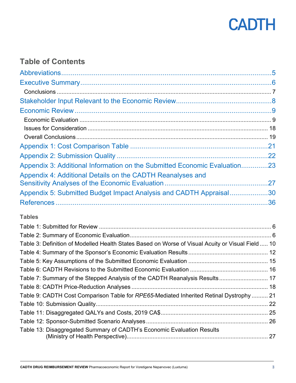

## **Table of Contents**

| Appendix 3: Additional Information on the Submitted Economic Evaluation23                         |  |
|---------------------------------------------------------------------------------------------------|--|
| Appendix 4: Additional Details on the CADTH Reanalyses and                                        |  |
|                                                                                                   |  |
| Appendix 5: Submitted Budget Impact Analysis and CADTH Appraisal30                                |  |
|                                                                                                   |  |
| <b>Tables</b>                                                                                     |  |
|                                                                                                   |  |
|                                                                                                   |  |
| Table 3: Definition of Modelled Health States Based on Worse of Visual Acuity or Visual Field  10 |  |
|                                                                                                   |  |
|                                                                                                   |  |
|                                                                                                   |  |
| Table 7: Summary of the Stepped Analysis of the CADTH Reanalysis Results 17                       |  |
|                                                                                                   |  |
| Table 9: CADTH Cost Comparison Table for RPE65-Mediated Inherited Retinal Dystrophy  21           |  |
|                                                                                                   |  |
|                                                                                                   |  |
| Table 13: Disaggregated Summary of CADTH's Economic Evaluation Results                            |  |
|                                                                                                   |  |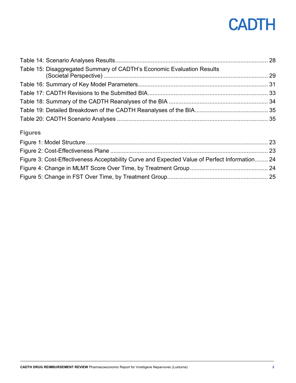| Table 15: Disaggregated Summary of CADTH's Economic Evaluation Results |  |
|------------------------------------------------------------------------|--|
|                                                                        |  |
|                                                                        |  |
|                                                                        |  |
|                                                                        |  |
|                                                                        |  |

## **Figures**

| Figure 3: Cost-Effectiveness Acceptability Curve and Expected Value of Perfect Information 24 |  |
|-----------------------------------------------------------------------------------------------|--|
|                                                                                               |  |
|                                                                                               |  |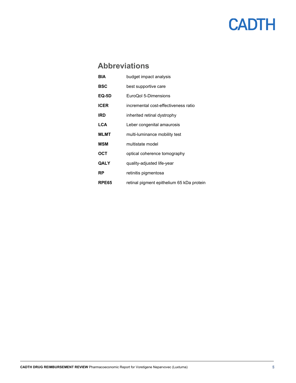## <span id="page-4-0"></span>**Abbreviations**

| BIA         | budget impact analysis                    |
|-------------|-------------------------------------------|
| BSC         | best supportive care                      |
| EQ-5D       | EuroQol 5-Dimensions                      |
| ICER        | incremental cost-effectiveness ratio      |
| IRD         | inherited retinal dystrophy               |
| <b>LCA</b>  | Leber congenital amaurosis                |
| MLMT        | multi-luminance mobility test             |
| <b>MSM</b>  | multistate model                          |
| OCT         | optical coherence tomography              |
| <b>QALY</b> | quality-adjusted life-year                |
| RP          | retinitis pigmentosa                      |
| RPE65       | retinal pigment epithelium 65 kDa protein |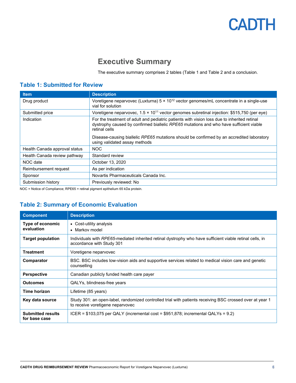## **Executive Summary**

The executive summary comprises 2 tables [\(Table 1](#page-5-1) and [Table 2](#page-5-2) and a conclusion.

### <span id="page-5-1"></span><span id="page-5-0"></span>**Table 1: Submitted for Review**

| <b>Item</b>                   | <b>Description</b>                                                                                                                                                                                                                                                                                                                   |
|-------------------------------|--------------------------------------------------------------------------------------------------------------------------------------------------------------------------------------------------------------------------------------------------------------------------------------------------------------------------------------|
| Drug product                  | Voretigene neparvovec (Luxturna) $5 \times 10^{12}$ vector genomes/mL concentrate in a single-use<br>vial for solution                                                                                                                                                                                                               |
| Submitted price               | Voretigene neparvovec, $1.5 \times 10^{11}$ vector genomes subretinal injection: \$515,750 (per eye)                                                                                                                                                                                                                                 |
| Indication                    | For the treatment of adult and pediatric patients with vision loss due to inherited retinal<br>dystrophy caused by confirmed biallelic RPE65 mutations and who have sufficient viable<br>retinal cells<br>Disease-causing biallelic RPE65 mutations should be confirmed by an accredited laboratory<br>using validated assay methods |
| Health Canada approval status | <b>NOC</b>                                                                                                                                                                                                                                                                                                                           |
| Health Canada review pathway  | Standard review                                                                                                                                                                                                                                                                                                                      |
| NOC date                      | October 13, 2020                                                                                                                                                                                                                                                                                                                     |
| Reimbursement request         | As per indication                                                                                                                                                                                                                                                                                                                    |
| Sponsor                       | Novartis Pharmaceuticals Canada Inc.                                                                                                                                                                                                                                                                                                 |
| Submission history            | Previously reviewed: No                                                                                                                                                                                                                                                                                                              |

NOC = Notice of Compliance; RPE65 = retinal pigment epithelium 65 kDa protein.

### <span id="page-5-2"></span>**Table 2: Summary of Economic Evaluation**

| <b>Component</b>                          | <b>Description</b>                                                                                                                           |
|-------------------------------------------|----------------------------------------------------------------------------------------------------------------------------------------------|
| Type of economic<br>evaluation            | • Cost-utility analysis<br>• Markov model                                                                                                    |
| <b>Target population</b>                  | Individuals with RPE65-mediated inherited retinal dystrophy who have sufficient viable retinal cells, in<br>accordance with Study 301        |
| <b>Treatment</b>                          | Voretigene neparvovec                                                                                                                        |
| Comparator                                | BSC. BSC includes low-vision aids and supportive services related to medical vision care and genetic<br>counselling                          |
| <b>Perspective</b>                        | Canadian publicly funded health care payer                                                                                                   |
| <b>Outcomes</b>                           | QALYs, blindness-free years                                                                                                                  |
| Time horizon                              | Lifetime (85 years)                                                                                                                          |
| Key data source                           | Study 301: an open-label, randomized controlled trial with patients receiving BSC crossed over at year 1<br>to receive voretigene neparvovec |
| <b>Submitted results</b><br>for base case | ICER = $$103,075$ per QALY (incremental cost = $$951,878$ ; incremental QALYs = 9.2)                                                         |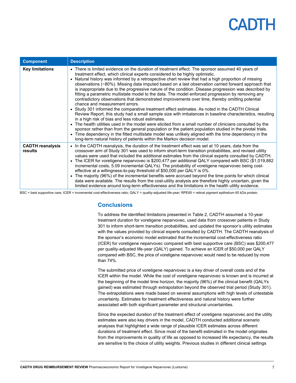| <b>Component</b>                   | <b>Description</b>                                                                                                                                                                                                                                                                                                                                                                                                                                                                                                                                                                                                                                                                                                                                                                                                                                                                                                                                                                                                                                                                                                                                                                                                                                                                                                                                                                                                                  |
|------------------------------------|-------------------------------------------------------------------------------------------------------------------------------------------------------------------------------------------------------------------------------------------------------------------------------------------------------------------------------------------------------------------------------------------------------------------------------------------------------------------------------------------------------------------------------------------------------------------------------------------------------------------------------------------------------------------------------------------------------------------------------------------------------------------------------------------------------------------------------------------------------------------------------------------------------------------------------------------------------------------------------------------------------------------------------------------------------------------------------------------------------------------------------------------------------------------------------------------------------------------------------------------------------------------------------------------------------------------------------------------------------------------------------------------------------------------------------------|
| <b>Key limitations</b>             | • There is limited evidence on the duration of treatment effect. The sponsor assumed 40 years of<br>treatment effect, which clinical experts considered to be highly optimistic.<br>• Natural history was informed by a retrospective chart review that had a high proportion of missing<br>observations (~80%). Missing data imputed based on a last observation carried forward approach that<br>is inappropriate due to the progressive nature of the condition. Disease progression was described by<br>fitting a parametric multistate model to the data. The model enforced progression by removing any<br>contradictory observations that demonstrated improvements over time, thereby omitting potential<br>chance and measurement errors.<br>• Study 301 informed the comparative treatment effect estimates. As noted in the CADTH Clinical<br>Review Report, this study had a small sample size with imbalances in baseline characteristics, resulting<br>in a high risk of bias and less robust estimates.<br>• The health utilities used in the model were elicited from a small number of clinicians consulted by the<br>sponsor rather than from the general population or the patient population studied in the pivotal trials.<br>• Time dependency in the fitted multistate model was unlikely aligned with the time dependency in the<br>long-term natural history of patients within the Markov decision model. |
| <b>CADTH</b> reanalysis<br>results | • In the CADTH reanalysis, the duration of the treatment effect was set at 10 years, data from the<br>crossover arm of Study 301 was used to inform short-term transition probabilities, and revised utility<br>values were used that included the additional estimates from the clinical experts consulted by CADTH.<br>The ICER for voretigene neparvovec is \$200,477 per additional QALY compared with BSC (\$1,019,882<br>incremental costs, 5.09 incremental QALYs). The probability of voretigene neparvovec being cost-<br>effective at a willingness-to-pay threshold of \$50,000 per QALY is 0%.<br>• The majority (96%) of the incremental benefits were accrued beyond the time points for which clinical<br>data were available. The results from the cost-utility analysis are therefore highly uncertain, given the<br>limited evidence around long-term effectiveness and the limitations in the health utility evidence.                                                                                                                                                                                                                                                                                                                                                                                                                                                                                           |

<span id="page-6-0"></span>BSC = best supportive care; ICER = incremental cost-effectiveness ratio; QALY = quality-adjusted life-year; RPE65 = retinal pigment epithelium 65 kDa protein.

### **Conclusions**

To address the identified limitations presented in [Table 2,](#page-5-2) CADTH assumed a 10-year treatment duration for voretigene neparvovec, used data from crossover patients in Study 301 to inform short-term transition probabilities, and updated the sponsor's utility estimates with the values provided by clinical experts consulted by CADTH. The CADTH reanalysis of the sponsor's economic model estimated that the incremental cost-effectiveness ratio (ICER) for voretigene neparvovec compared with best supportive care (BSC) was \$200,477 per quality-adjusted life-year (QALY) gained. To achieve an ICER of \$50,000 per QALY compared with BSC, the price of voretigene neparvovec would need to be reduced by more than 74%.

The submitted price of voretigene neparvovec is a key driver of overall costs and of the ICER within the model. While the cost of voretigene neparvovec is known and is incurred at the beginning of the model time horizon, the majority (96%) of the clinical benefit (QALYs gained) was estimated through extrapolation beyond the observed trial period (Study 301). The extrapolations were made based on several assumptions with high levels of untestable uncertainty. Estimates for treatment effectiveness and natural history were further associated with both significant parameter and structural uncertainties.

Since the expected duration of the treatment effect of voretigene neparvovec and the utility estimates were also key drivers in the model, CADTH conducted additional scenario analyses that highlighted a wide range of plausible ICER estimates across different durations of treatment effect. Since most of the benefit estimated in the model originates from the improvements in quality of life as opposed to increased life expectancy, the results are sensitive to the choice of utility weights. Previous studies in different clinical settings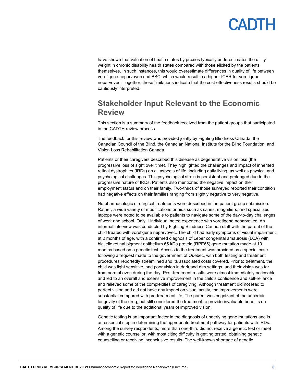have shown that valuation of health states by proxies typically underestimates the utility weight in chronic disability health states compared with those elicited by the patients themselves. In such instances, this would overestimate differences in quality of life between voretigene neparvovec and BSC, which would result in a higher ICER for voretigene neparvovec. Together, these limitations indicate that the cost-effectiveness results should be cautiously interpreted.

## <span id="page-7-0"></span>**Stakeholder Input Relevant to the Economic Review**

This section is a summary of the feedback received from the patient groups that participated in the CADTH review process.

The feedback for this review was provided jointly by Fighting Blindness Canada, the Canadian Council of the Blind, the Canadian National Institute for the Blind Foundation, and Vision Loss Rehabilitation Canada.

Patients or their caregivers described this disease as degenerative vision loss (the progressive loss of sight over time). They highlighted the challenges and impact of inherited retinal dystrophies (IRDs) on all aspects of life, including daily living, as well as physical and psychological challenges. This psychological strain is persistent and prolonged due to the progressive nature of IRDs. Patients also mentioned the negative impact on their employment status and on their family. Two-thirds of those surveyed reported their condition had negative effects on their families ranging from slightly negative to very negative.

No pharmacologic or surgical treatments were described in the patient group submission. Rather, a wide variety of modifications or aids such as canes, magnifiers, and specialized laptops were noted to be available to patients to navigate some of the day-to-day challenges of work and school. Only 1 individual noted experience with voretigene neparvovec. An informal interview was conducted by Fighting Blindness Canada staff with the parent of the child treated with voretigene neparvovec. The child had early symptoms of visual impairment at 2 months of age, with a confirmed diagnosis of Leber congenital amaurosis (LCA) with biallelic retinal pigment epithelium 65 kDa protein (RPE65) gene mutation made at 10 months based on a genetic test. Access to the treatment was provided as a special case following a request made to the government of Quebec, with both testing and treatment procedures reportedly streamlined and its associated costs covered. Prior to treatment, the child was light sensitive, had poor vision in dark and dim settings, and their vision was far from normal even during the day. Post-treatment results were almost immediately noticeable and led to an overall and extensive improvement in the child's confidence and self-reliance and relieved some of the complexities of caregiving. Although treatment did not lead to perfect vision and did not have any impact on visual acuity, the improvements were substantial compared with pre-treatment life. The parent was cognizant of the uncertain longevity of the drug, but still considered the treatment to provide invaluable benefits on quality of life due to the additional years of improved vision.

Genetic testing is an important factor in the diagnosis of underlying gene mutations and is an essential step in determining the appropriate treatment pathway for patients with IRDs. Among the survey respondents, more than one-third did not receive a genetic test or meet with a genetic counsellor, with most citing difficulty in getting tested, obtaining genetic counselling or receiving inconclusive results. The well-known shortage of genetic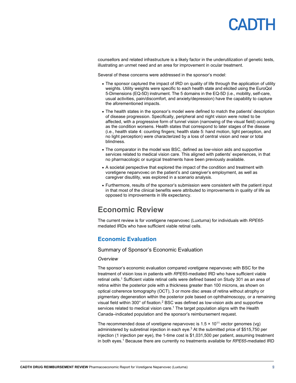# **ANTE**

counsellors and related infrastructure is a likely factor in the underutilization of genetic tests, illustrating an unmet need and an area for improvement in ocular treatment.

Several of these concerns were addressed in the sponsor's model:

- The sponsor captured the impact of IRD on quality of life through the application of utility weights. Utility weights were specific to each health state and elicited using the EuroQol 5-Dimensions (EQ-5D) instrument. The 5 domains in the EQ-5D (i.e., mobility, self-care, usual activities, pain/discomfort, and anxiety/depression) have the capability to capture the aforementioned impacts.
- The health states in the sponsor's model were defined to match the patients' description of disease progression. Specifically, peripheral and night vision were noted to be affected, with a progressive form of tunnel vision (narrowing of the visual field) occurring as the condition worsens. Health states that correspond to later stages of the disease (i.e., health state 4: counting fingers; health state 5: hand motion, light perception, and no light perception) were characterized by a loss of central vision and near or total blindness.
- The comparator in the model was BSC, defined as low-vision aids and supportive services related to medical vision care. This aligned with patients' experiences, in that no pharmacologic or surgical treatments have been previously available.
- A societal perspective that explored the impact of the condition and treatment with voretigene neparvovec on the patient's and caregiver's employment, as well as caregiver disutility, was explored in a scenario analysis.
- Furthermore, results of the sponsor's submission were consistent with the patient input in that most of the clinical benefits were attributed to improvements in quality of life as opposed to improvements in life expectancy.

## <span id="page-8-0"></span>**Economic Review**

The current review is for voretigene neparvovec (Luxturna) for individuals with *RPE65* mediated IRDs who have sufficient viable retinal cells.

### <span id="page-8-1"></span>**Economic Evaluation**

#### Summary of Sponsor's Economic Evaluation

#### *Overview*

The sponsor's economic evaluation compared voretigene neparvovec with BSC for the treatment of vision loss in patients with *RPE65*-mediated IRD who have sufficient viable retinal cells.<sup>1</sup> Sufficient viable retinal cells were defined based on Study 301 as an area of retina within the posterior pole with a thickness greater than 100 microns, as shown on optical coherence tomography (OCT), 3 or more disc areas of retina without atrophy or pigmentary degeneration within the posterior pole based on ophthalmoscopy, or a remaining visual field within 300° of fixation.2 BSC was defined as low-vision aids and supportive services related to medical vision care.<sup>1</sup> The target population aligns with the Health Canada–indicated population and the sponsor's reimbursement request.

The recommended dose of voretigene neparvovec is  $1.5 \times 10^{11}$  vector genomes (vg) administered by subretinal injection in each eye.3 At the submitted price of \$515,750 per injection (1 injection per eye), the 1-time cost is \$1,031,500 per patient, assuming treatment in both eyes.<sup>1</sup> Because there are currently no treatments available for *RPE65*-mediated IRD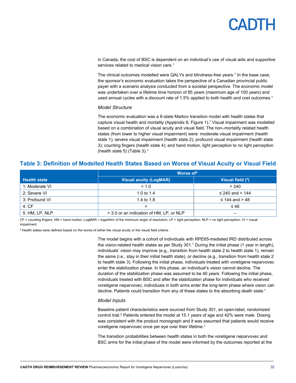in Canada, the cost of BSC is dependent on an individual's use of visual aids and supportive services related to medical vision care. 1

The clinical outcomes modelled were QALYs and blindness-free years.1 In the base case, the sponsor's economic evaluation takes the perspective of a Canadian provincial public payer with a scenario analysis conducted from a societal perspective. The economic model was undertaken over a lifetime time horizon of 85 years (maximum age of 100 years) and used annual cycles with a discount rate of 1.5% applied to both health and cost outcomes.<sup>1</sup>

#### *Model Structure*

The economic evaluation was a 6-state Markov transition model with health states that capture visual health and mortality (Appendix 6[, Figure 1\)](#page-22-1).1 Visual impairment was modelled based on a combination of visual acuity and visual field. The non–mortality related health states (from lower to higher visual impairment) were: moderate visual impairment (health state 1); severe visual impairment (health state 2); profound visual impairment (health state 3); counting fingers (health state 4); and hand motion, light perception to no light perception (health state 5) [\(Table 3\)](#page-9-0). 1

### <span id="page-9-0"></span>**Table 3: Definition of Modelled Health States Based on Worse of Visual Acuity or Visual Field**

|                     | Worse of <sup>a</sup>                    |                     |  |
|---------------------|------------------------------------------|---------------------|--|
| <b>Health state</b> | Visual acuity (LogMAR)                   | Visual field (°)    |  |
| 1: Moderate VI      | < 1.0                                    | > 240               |  |
| 2: Severe VI        | 1.0 to $1.4$                             | ≤ 240 and > 144     |  |
| 3: Profound VI      | 1.4 to 1.8                               | $\leq$ 144 and > 48 |  |
| 4:CF                | ↘                                        | $\leq 48$           |  |
| 5: HM, LP, NLP      | > 3.0 or an indication of HM, LP, or NLP |                     |  |

CF = counting fingers; HM = hand motion; LogMAR = logarithm of the minimum angle of resolution; LP = light perception; NLP = no light perception; VI = visual impairment.

<sup>a</sup> Health states were defined based on the worse of either the visual acuity or the visual field criteria.

The model begins with a cohort of individuals with *RPE65*-mediated IRD distributed across the vision-related health states as per Study 301. <sup>1</sup> During the initial phase (1 year in length), individuals' vision may improve (e.g., transition from health state 2 to health state 1), remain the same (i.e., stay in their initial health state), or decline (e.g., transition from health state 2 to health state 3). Following the initial phase, individuals treated with voretigene neparvovec enter the stabilization phase. In this phase, an individual's vision cannot decline. The duration of the stabilization phase was assumed to be 40 years. Following the initial phase, individuals treated with BSC and after the stabilization phase for individuals who received voretigene neparvovec, individuals in both arms enter the long-term phase where vision can decline. Patients could transition from any of these states to the absorbing death state.<sup>1</sup>

#### *Model Inputs*

Baseline patient characteristics were sourced from Study 301, an open-label, randomized control trial. <sup>2</sup> Patients entered the model at 15.1 years of age and 42% were male. Dosing was consistent with the product monograph and it was assumed that patients would receive voretigene neparvovec once per eye over their lifetime. 1

The transition probabilities between health states in both the voretigene neparvovec and BSC arms for the initial phase of the model were informed by the outcomes reported at the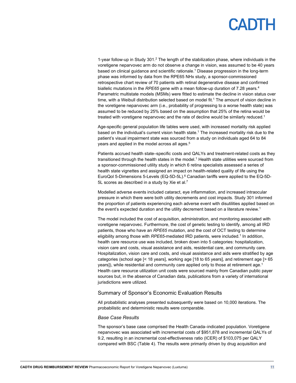1-year follow-up in Study 301.<sup>2</sup> The length of the stabilization phase, where individuals in the voretigene neparvovec arm do not observe a change in vision, was assumed to be 40 years based on clinical guidance and scientific rationale. <sup>1</sup> Disease progression in the long-term phase was informed by data from the RPE65 NHx study, a sponsor-commissioned retrospective chart review of 70 patients with retinal degenerative disease and confirmed biallelic mutations in the *RPE65* gene with a mean follow-up duration of 7.28 years.4 Parametric multistate models (MSMs) were fitted to estimate the decline in vision status over time, with a Weibull distribution selected based on model fit.<sup>1</sup> The amount of vision decline in the voretigene neparvovec arm (i.e., probability of progressing to a worse health state) was assumed to be reduced by 25% based on the assumption that 25% of the retina would be treated with voretigene neparvovec and the rate of decline would be similarly reduced.<sup>1</sup>

Age-specific general population life tables were used, with increased mortality risk applied based on the individual's current vision health state. <sup>1</sup> The increased mortality risk due to the patient's visual impairment state was sourced from a study on individuals aged 64 to 84 years and applied in the model across all ages. $^5$ 

Patients accrued health state–specific costs and QALYs and treatment-related costs as they transitioned through the health states in the model.<sup>1</sup> Health state utilities were sourced from a sponsor-commissioned utility study in which 6 retina specialists assessed a series of health state vignettes and assigned an impact on health-related quality of life using the EuroQol 5-Dimensions 5-Levels (EQ-5D-5L). <sup>6</sup> Canadian tariffs were applied to the EQ-5D-5L scores as described in a study by Xie et al.<sup>7</sup>

Modelled adverse events included cataract, eye inflammation, and increased intraocular pressure in which there were both utility decrements and cost impacts. Study 301 informed the proportion of patients experiencing each adverse event with disutilities applied based on the event's expected duration and the utility decrement based on a literature review.<sup>1</sup>

The model included the cost of acquisition, administration, and monitoring associated with voretigene neparvovec. Furthermore, the cost of genetic testing to identify, among all IRD patients, those who have an *RPE65* mutation, and the cost of OCT testing to determine eligibility among those with *RPE65*-mediated IRD patients, were included.<sup>1</sup> In addition, health care resource use was included, broken down into 5 categories: hospitalization, vision care and costs, visual assistance and aids, residential care, and community care. Hospitalization, vision care and costs, and visual assistance and aids were stratified by age categories (school age [< 18 years], working age [18 to 65 years], and retirement age [> 65 years]), while residential and community care applied only to those at retirement age.<sup>1</sup> Health care resource utilization unit costs were sourced mainly from Canadian public payer sources but, in the absence of Canadian data, publications from a variety of international jurisdictions were utilized.

#### Summary of Sponsor's Economic Evaluation Results

All probabilistic analyses presented subsequently were based on 10,000 iterations. The probabilistic and deterministic results were comparable.

#### *Base Case Results*

The sponsor's base case comprised the Health Canada–indicated population. Voretigene neparvovec was associated with incremental costs of \$951,878 and incremental QALYs of 9.2, resulting in an incremental cost-effectiveness ratio (ICER) of \$103,075 per QALY compared with BSC [\(Table 4\)](#page-11-0). The results were primarily driven by drug acquisition and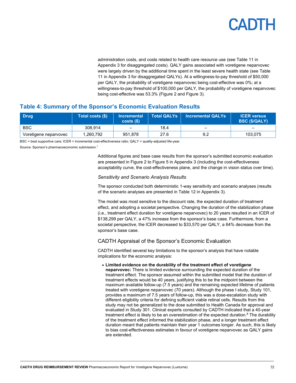administration costs, and costs related to health care resource use (se[e Table 11](#page-24-0) in Appendix 3 for disaggregated costs). QALY gains associated with voretigene neparvovec were largely driven by the additional time spent in the least severe health state (see [Table](#page-24-0)  [11](#page-24-0) in Appendix 3 for disaggregated QALYs). At a willingness-to-pay threshold of \$50,000 per QALY, the probability of voretigene neparvovec being cost-effective was 0%; at a willingness-to-pay threshold of \$100,000 per QALY, the probability of voretigene neparvovec being cost-effective was 53.3% [\(Figure 2](#page-22-2) and [Figure 3\)](#page-23-0).

### <span id="page-11-0"></span>**Table 4: Summary of the Sponsor's Economic Evaluation Results**

| <b>Drug</b>           | Total costs (\$) | <b>Incremental</b><br>costs( | <b>Total QALYs</b> | <b>Incremental QALYs</b> | <b>ICER versus</b><br><b>BSC (\$/QALY)</b> |
|-----------------------|------------------|------------------------------|--------------------|--------------------------|--------------------------------------------|
| <b>BSC</b>            | 308.914          | $\overline{\phantom{a}}$     | 18.4               | -                        |                                            |
| Voretigene neparvovec | 1,260,792        | 951.878                      | 27.6               | 9.2                      | 103.075                                    |

BSC = best supportive care; ICER = incremental cost-effectiveness ratio; QALY = quality-adjusted life-year.

Source: Sponsor's pharmacoeconomic submission. 1

Additional figures and base case results from the sponsor's submitted economic evaluation are presented in [Figure 2](#page-22-2) t[o Figure 5](#page-24-1) in Appendix 3 (including the cost-effectiveness acceptability curve, the cost-effectiveness plane, and the change in vision status over time).

#### *Sensitivity and Scenario Analysis Results*

The sponsor conducted both deterministic 1-way sensitivity and scenario analyses (results of the scenario analyses are presented i[n Table 12](#page-25-0) in Appendix 3).

The model was most sensitive to the discount rate, the expected duration of treatment effect, and adopting a societal perspective. Changing the duration of the stabilization phase (i.e., treatment effect duration for voretigene neparvovec) to 20 years resulted in an ICER of \$138,299 per QALY, a 47% increase from the sponsor's base case. Furthermore, from a societal perspective, the ICER decreased to \$33,570 per QALY, a 64% decrease from the sponsor's base case.

#### CADTH Appraisal of the Sponsor's Economic Evaluation

CADTH identified several key limitations to the sponsor's analysis that have notable implications for the economic analysis:

• **Limited evidence on the durability of the treatment effect of voretigene neparvovec:** There is limited evidence surrounding the expected duration of the treatment effect. The sponsor assumed within the submitted model that the duration of treatment effects would be 40 years, justifying this to be the midpoint between the maximum available follow-up (7.5 years) and the remaining expected lifetime of patients treated with voretigene neparvovec (70 years). Although the phase I study, Study 101, provides a maximum of 7.5 years of follow-up, this was a dose-escalation study with different eligibility criteria for defining sufficient viable retinal cells. Results from this study may not be generalized to the dose submitted to Health Canada for approval and evaluated in Study 301. Clinical experts consulted by CADTH indicated that a 40-year treatment effect is likely to be an overestimation of the expected duration.<sup>8</sup> The durability of the treatment effect informed the stabilization phase, and a longer treatment effect duration meant that patients maintain their year 1 outcomes longer. As such, this is likely to bias cost-effectiveness estimates in favour of voretigene neparvovec as QALY gains are extended.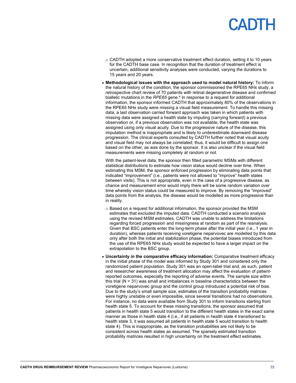# PADIE

- o CADTH adopted a more conservative treatment effect duration, setting it to 10 years for the CADTH base case. In recognition that the duration of treatment effect is uncertain, additional sensitivity analyses were conducted, varying the durations to 15 years and 20 years.
- **Methodological issues with the approach used to model natural history:** To inform the natural history of the condition, the sponsor commissioned the RPE65 NHx study, a retrospective chart review of 70 patients with retinal degenerative disease and confirmed biallelic mutations in the *RPE65* gene. <sup>4</sup> In response to a request for additional information, the sponsor informed CADTH that approximately 80% of the observations in the RPE65 NHx study were missing a visual field measurement. To handle this missing data, a last observation carried forward approach was taken in which patients with missing data were assigned a health state by imputing (carrying forward) a previous observation or, if a previous observation was not available, the health state was assigned using only visual acuity. Due to the progressive nature of the disease, this imputation method is inappropriate and is likely to underestimate downward disease progression. The clinical experts consulted by CADTH further noted that visual acuity and visual field may not always be correlated; thus, it would be difficult to assign one based on the other, as was done by the sponsor. It is also unclear if the visual field measurements were missing completely at random or not.

With the patient-level data, the sponsor then fitted parametric MSMs with different statistical distributions to estimate how vision status would decline over time. When estimating this MSM, the sponsor enforced progression by eliminating data points that indicated "improvement" (i.e., patients were not allowed to "improve" health states between visits). This is not appropriate, even in the case of a progressive disease, as chance and measurement error would imply there will be some random variation over time whereby vision status could be measured to improve. By removing the "improved" data points from the analysis, the disease would be modelled as more progressive than in reality.

- $\circ$  Based on a request for additional information, the sponsor provided the MSM estimates that excluded the imputed data. CADTH conducted a scenario analysis using the revised MSM estimates. CADTH was unable to address the limitations regarding forced progression and missingness at random as part of the reanalysis. Given that BSC patients enter the long-term phase after the initial year (i.e., 1 year in duration), whereas patients receiving voretigene neparvovec are modelled by this data only after both the initial and stabilization phase, the potential biases introduced from the use of the RPE65 NHx study would be expected to have a larger impact on the extrapolation to the BSC group.
- **Uncertainty in the comparative efficacy information:** Comparative treatment efficacy in the initial phase of the model was informed by Study 301 and considered only the randomized patient population. Study 301 was an open-label trial and, as such, patient and researcher awareness of treatment allocation may affect the evaluation of patientreported outcomes, especially the reporting of adverse events. The sample size within this trial (N = 31) was small and imbalances in baseline characteristics between the voretigene neparvovec group and the control group introduced a potential risk of bias. Due to the study's small sample size, estimates of the transition probability matrices were highly unstable or even impossible, since several transitions had no observations. For instance, no data were available from Study 301 to inform transitions starting from health state 5. To account for these missing transitions, the sponsor assumed that patients in health state 5 would transition to the different health states in the exact same manner as those in health state 4 (i.e., if all patients in health state 4 transitioned to health state 3, it was assumed all patients in health state 5 would transition to health state 4). This is inappropriate, as the transition probabilities are not likely to be consistent across health states as assumed. The sparsely estimated transition probability matrices resulted in high uncertainty on the treatment effect estimates.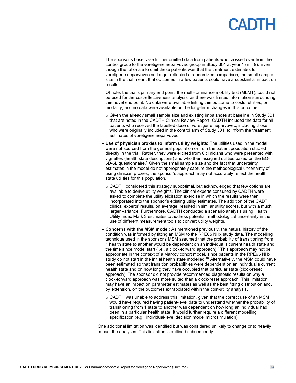# **PADTH**

The sponsor's base case further omitted data from patients who crossed over from the control group to the voretigene neparvovec group in Study 301 at year 1 ( $n = 9$ ). Even though the rationale to omit these patients was that the treatment estimates for voretigene neparvovec no longer reflected a randomized comparison, the small sample size in the trial meant that outcomes in a few patients could have a substantial impact on results.

Of note, the trial's primary end point, the multi-luminance mobility test (MLMT), could not be used for the cost-effectiveness analysis, as there was limited information surrounding this novel end point. No data were available linking this outcome to costs, utilities, or mortality, and no data were available on the long-term changes in this outcome.

- $\circ$  Given the already small sample size and existing imbalances at baseline in Study 301 that are noted in the CADTH Clinical Review Report, CADTH included the data for all patients who received the labelled dose of voretigene neparvovec, including those who were originally included in the control arm of Study 301, to inform the treatment estimates of voretigene neparvovec.
- **Use of physician proxies to inform utility weights:** The utilities used in the model were not sourced from the general population or from the patient population studied directly in the trial. Rather, they were elicited from 6 clinicians who were presented with vignettes (health state descriptions) and who then assigned utilities based on the EQ- $5D-5L$  questionnaire.<sup>6</sup> Given the small sample size and the fact that uncertainty estimates in the model do not appropriately capture the methodological uncertainty of using clinician proxies, the sponsor's approach may not accurately reflect the health state utilities for this population.
	- $\circ$  CADTH considered this strategy suboptimal, but acknowledged that few options are available to derive utility weights. The clinical experts consulted by CADTH were asked to complete the utility elicitation exercise in which the results were then incorporated into the sponsor's existing utility estimates. The addition of the CADTH clinical experts' results, on average, resulted in similar utility scores, but with a much larger variance. Furthermore, CADTH conducted a scenario analysis using Health Utility Index Mark 3 estimates to address potential methodological uncertainty in the use of different measurement tools to convert utility weights.
- **Concerns with the MSM model:** As mentioned previously, the natural history of the condition was informed by fitting an MSM to the RPE65 NHx study data. The modelling technique used in the sponsor's MSM assumed that the probability of transitioning from 1 health state to another would be dependent on an individual's current health state and the time since model start (i.e., a clock-forward approach). <sup>9</sup> This approach may not be appropriate in the context of a Markov cohort model, since patients in the RPE65 NHx study do not start in the initial health state modelled.<sup>10</sup> Alternatively, the MSM could have been estimated so that transition probabilities were dependent on an individual's current health state and on how long they have occupied that particular state (clock-reset approach). The sponsor did not provide recommended diagnostic results on why a clock-forward approach was more suited than a clock-reset approach. This limitation may have an impact on parameter estimates as well as the best fitting distribution and, by extension, on the outcomes extrapolated within the cost-utility analysis.
	- $\circ$  CADTH was unable to address this limitation, given that the correct use of an MSM would have required having patient-level data to understand whether the probability of transitioning from 1 state to another was dependent on how long an individual had been in a particular health state. It would further require a different modelling specification (e.g., individual-level decision model microsimulation).

One additional limitation was identified but was considered unlikely to change or to heavily impact the analyses. This limitation is outlined subsequently.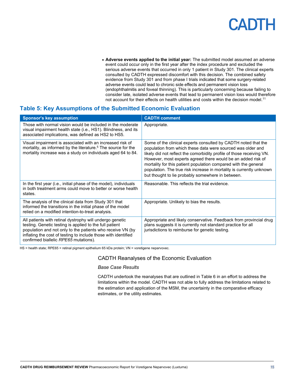• **Adverse events applied to the initial year:** The submitted model assumed an adverse event could occur only in the first year after the index procedure and excluded the serious adverse events that occurred in only 1 patient in Study 301. The clinical experts consulted by CADTH expressed discomfort with this decision. The combined safety evidence from Study 301 and from phase I trials indicated that some surgery-related adverse events could lead to chronic side effects and permanent vision loss (endophthalmitis and foveal thinning). This is particularly concerning because failing to consider late, isolated adverse events that lead to permanent vision loss would therefore not account for their effects on health utilities and costs within the decision model.<sup>11</sup>

### <span id="page-14-0"></span>**Table 5: Key Assumptions of the Submitted Economic Evaluation**

| <b>Sponsor's key assumption</b>                                                                                                                                                                                                                                                              | <b>CADTH comment</b>                                                                                                                                                                                                                                                                                                                                                                                                                                                   |
|----------------------------------------------------------------------------------------------------------------------------------------------------------------------------------------------------------------------------------------------------------------------------------------------|------------------------------------------------------------------------------------------------------------------------------------------------------------------------------------------------------------------------------------------------------------------------------------------------------------------------------------------------------------------------------------------------------------------------------------------------------------------------|
| Those with normal vision would be included in the moderate<br>visual impairment health state (i.e., HS1). Blindness, and its<br>associated implications, was defined as HS2 to HS5.                                                                                                          | Appropriate.                                                                                                                                                                                                                                                                                                                                                                                                                                                           |
| Visual impairment is associated with an increased risk of<br>mortality, as informed by the literature. <sup>5</sup> The source for the<br>mortality increase was a study on individuals aged 64 to 84.                                                                                       | Some of the clinical experts consulted by CADTH noted that the<br>population from which these data were sourced was older and<br>likely did not reflect the comorbidity profile of those receiving VN.<br>However, most experts agreed there would be an added risk of<br>mortality for this patient population compared with the general<br>population. The true risk increase in mortality is currently unknown<br>but thought to lie probably somewhere in between. |
| In the first year (i.e., initial phase of the model), individuals<br>in both treatment arms could move to better or worse health<br>states.                                                                                                                                                  | Reasonable. This reflects the trial evidence.                                                                                                                                                                                                                                                                                                                                                                                                                          |
| The analysis of the clinical data from Study 301 that<br>informed the transitions in the initial phase of the model<br>relied on a modified intention-to-treat analysis.                                                                                                                     | Appropriate. Unlikely to bias the results.                                                                                                                                                                                                                                                                                                                                                                                                                             |
| All patients with retinal dystrophy will undergo genetic<br>testing. Genetic testing is applied to the full patient<br>population and not only to the patients who receive VN (by<br>inflating the cost of testing to include those with identified<br>confirmed biallelic RPE65 mutations). | Appropriate and likely conservative. Feedback from provincial drug<br>plans suggests it is currently not standard practice for all<br>jurisdictions to reimburse for genetic testing.                                                                                                                                                                                                                                                                                  |

HS = health state; RPE65 = retinal pigment epithelium 65 kDa protein; VN = voretigene neparvovec.

#### CADTH Reanalyses of the Economic Evaluation

#### *Base Case Results*

CADTH undertook the reanalyses that are outlined in [Table 6](#page-15-0) in an effort to address the limitations within the model. CADTH was not able to fully address the limitations related to the estimation and application of the MSM, the uncertainty in the comparative efficacy estimates, or the utility estimates.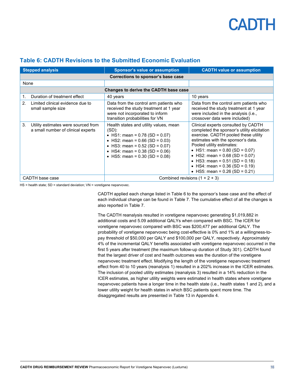| <b>Stepped analysis</b> |                                                                           | <b>Sponsor's value or assumption</b>                                                                                                                                                                                                                  | <b>CADTH value or assumption</b>                                                                                                                                                                                                                                                                                                                                                                 |  |  |
|-------------------------|---------------------------------------------------------------------------|-------------------------------------------------------------------------------------------------------------------------------------------------------------------------------------------------------------------------------------------------------|--------------------------------------------------------------------------------------------------------------------------------------------------------------------------------------------------------------------------------------------------------------------------------------------------------------------------------------------------------------------------------------------------|--|--|
|                         | Corrections to sponsor's base case                                        |                                                                                                                                                                                                                                                       |                                                                                                                                                                                                                                                                                                                                                                                                  |  |  |
| None                    |                                                                           |                                                                                                                                                                                                                                                       |                                                                                                                                                                                                                                                                                                                                                                                                  |  |  |
|                         |                                                                           | Changes to derive the CADTH base case                                                                                                                                                                                                                 |                                                                                                                                                                                                                                                                                                                                                                                                  |  |  |
| 1.                      | Duration of treatment effect                                              | 40 years                                                                                                                                                                                                                                              | 10 years                                                                                                                                                                                                                                                                                                                                                                                         |  |  |
| 2.                      | Limited clinical evidence due to<br>small sample size                     | Data from the control arm patients who<br>received the study treatment at 1 year<br>were not incorporated to inform<br>transition probabilities for VN                                                                                                | Data from the control arm patients who<br>received the study treatment at 1 year<br>were included in the analysis (i.e.,<br>crossover data were included)                                                                                                                                                                                                                                        |  |  |
| 3.                      | Utility estimates were sourced from<br>a small number of clinical experts | Health states and utility values, mean<br>$(SD)$ :<br>• HS1: mean = $0.78$ (SD = $0.07$ )<br>• HS2: mean = $0.66$ (SD = $0.03$ )<br>• HS3: mean = $0.52$ (SD = $0.07$ )<br>• HS4: mean = $0.38$ (SD = $0.06$ )<br>• HS5: mean = $0.30$ (SD = $0.08$ ) | Clinical experts consulted by CADTH<br>completed the sponsor's utility elicitation<br>exercise. CADTH pooled these utility<br>estimates with the sponsor's data.<br>Pooled utility estimates:<br>• HS1: mean = $0.80$ (SD = $0.07$ )<br>• HS2: mean = $0.68$ (SD = $0.07$ )<br>• HS3: mean = $0.51$ (SD = $0.18$ )<br>• HS4: mean = $0.36$ (SD = $0.19$ )<br>• HS5: mean = $0.26$ (SD = $0.21$ ) |  |  |
| CADTH base case         |                                                                           | Combined revisions $(1 + 2 + 3)$                                                                                                                                                                                                                      |                                                                                                                                                                                                                                                                                                                                                                                                  |  |  |

### <span id="page-15-0"></span>**Table 6: CADTH Revisions to the Submitted Economic Evaluation**

HS = health state; SD = standard deviation; VN = voretigene neparvovec.

CADTH applied each change listed i[n Table 6](#page-15-0) to the sponsor's base case and the effect of each individual change can be found in [Table 7.](#page-16-0) The cumulative effect of all the changes is also reported in [Table 7.](#page-16-0)

The CADTH reanalysis resulted in voretigene neparvovec generating \$1,019,882 in additional costs and 5.09 additional QALYs when compared with BSC. The ICER for voretigene neparvovec compared with BSC was \$200,477 per additional QALY. The probability of voretigene neparvovec being cost-effective is 0% and 1% at a willingness-topay threshold of \$50,000 per QALY and \$100,000 per QALY, respectively. Approximately 4% of the incremental QALY benefits associated with voretigene neparvovec occurred in the first 5 years after treatment (the maximum follow-up duration of Study 301). CADTH found that the largest driver of cost and health outcomes was the duration of the voretigene neparvovec treatment effect. Modifying the length of the voretigene neparvovec treatment effect from 40 to 10 years (reanalysis 1) resulted in a 202% increase in the ICER estimates. The inclusion of pooled utility estimates (reanalysis 3) resulted in a 14% reduction in the ICER estimates, as higher utility weights were estimated in health states where voretigene neparvovec patients have a longer time in the health state (i.e., health states 1 and 2), and a lower utility weight for health states in which BSC patients spent more time. The disaggregated results are presented i[n Table 13](#page-26-1) in Appendix 4.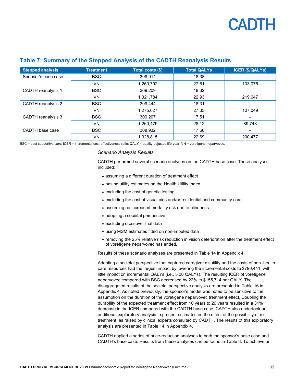

| <b>Stepped analysis</b>   | <b>Treatment</b> | Total costs (\$) | <b>Total QALYs</b> | <b>ICER (\$/QALYs)</b> |
|---------------------------|------------------|------------------|--------------------|------------------------|
| Sponsor's base case       | <b>BSC</b>       | 308,914          | 18.38              |                        |
|                           | VN               | 1,260,792        | 27.61              | 103,075                |
| <b>CADTH</b> reanalysis 1 | <b>BSC</b>       | 309,209          | 18.32              |                        |
|                           | VN               | 1,321,784        | 22.93              | 219,647                |
| CADTH reanalysis 2        | <b>BSC</b>       | 309,444          | 18.31              |                        |
|                           | <b>VN</b>        | 1,275,027        | 27.33              | 107,049                |
| CADTH reanalysis 3        | <b>BSC</b>       | 309,207          | 17.51              |                        |
|                           | VN               | 1,260,479        | 28.12              | 89,743                 |
| CADTH base case           | <b>BSC</b>       | 308,932          | 17.60              | –                      |
|                           | VN               | 1.328.815        | 22.69              | 200.477                |

#### <span id="page-16-0"></span>**Table 7: Summary of the Stepped Analysis of the CADTH Reanalysis Results**

BSC = best supportive care; ICER = incremental cost-effectiveness ratio; QALY = quality-adjusted life-year; VN = voretigene neparvovec.

#### *Scenario Analysis Results*

CADTH performed several scenario analyses on the CADTH base case. These analyses included:

- assuming a different duration of treatment effect
- basing utility estimates on the Health Utility Index
- excluding the cost of genetic testing
- excluding the cost of visual aids and/or residential and community care
- assuming no increased mortality risk due to blindness
- adopting a societal perspective
- excluding crossover trial data
- using MSM estimates fitted on non-imputed data
- removing the 25% relative risk reduction in vision deterioration after the treatment effect of voretigene neparvovec has ended.

Results of these scenario analyses are presented i[n Table](#page-27-0) 14 in Appendix 4.

Adopting a societal perspective that captured caregiver disutility and the costs of non–health care resources had the largest impact by lowering the incremental costs to \$790,441, with little impact on incremental QALYs (i.e., 5.08 QALYs). The resulting ICER of voretigene neparvovec compared with BSC decreased by 22% to \$155,714 per QALY. The disaggregated results of the societal perspective analysis are presented in [Table 16](#page-30-0) in Appendix 4. As noted previously, the sponsor's model was noted to be sensitive to the assumption on the duration of the voretigene neparvovec treatment effect. Doubling the durability of the expected treatment effect from 10 years to 20 years resulted in a 31% decrease in the ICER compared with the CADTH base case. CADTH also undertook an additional exploratory analysis to present estimates on the effect of the possibility of retreatment, as raised by clinical experts consulted by CADTH. The results of this exploratory analysis are presented in [Table](#page-27-0) 14 in Appendix 4.

CADTH applied a series of price-reduction analyses to both the sponsor's base case and CADTH's base case. Results from these analyses can be found in [Table 8.](#page-17-1) To achieve an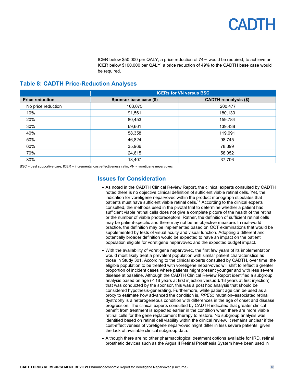ICER below \$50,000 per QALY, a price reduction of 74% would be required; to achieve an ICER below \$100,000 per QALY, a price reduction of 49% to the CADTH base case would be required.

### <span id="page-17-1"></span>**Table 8: CADTH Price-Reduction Analyses**

|                        | <b>ICERs for VN versus BSC</b> |                              |  |  |  |
|------------------------|--------------------------------|------------------------------|--|--|--|
| <b>Price reduction</b> | Sponsor base case (\$)         | <b>CADTH reanalysis (\$)</b> |  |  |  |
| No price reduction     | 103,075                        | 200,477                      |  |  |  |
| 10%                    | 91,561                         | 180,130                      |  |  |  |
| 20%                    | 80,453                         | 159,784                      |  |  |  |
| 30%                    | 69,661                         | 139,438                      |  |  |  |
| 40%                    | 58,358                         | 119,091                      |  |  |  |
| 50%                    | 46,824                         | 98,745                       |  |  |  |
| 60%                    | 35,966                         | 78,399                       |  |  |  |
| 70%                    | 24,615                         | 58,052                       |  |  |  |
| 80%                    | 13,407                         | 37,706                       |  |  |  |

<span id="page-17-0"></span>BSC = best supportive care; ICER = incremental cost-effectiveness ratio; VN = voretigene neparvovec.

### **Issues for Consideration**

- As noted in the CADTH Clinical Review Report, the clinical experts consulted by CADTH noted there is no objective clinical definition of sufficient viable retinal cells. Yet, the indication for voretigene neparvovec within the product monograph stipulates that patients must have sufficient viable retinal cells. <sup>12</sup> According to the clinical experts consulted, the methods used in the pivotal trial to determine whether a patient had sufficient viable retinal cells does not give a complete picture of the health of the retina or the number of viable photoreceptors. Rather, the definition of sufficient retinal cells may be patient-specific and there may not be an objective measure. In real-world practice, the definition may be implemented based on OCT examinations that would be supplemented by tests of visual acuity and visual function. Adopting a different and potentially broader definition would be expected to have an impact on the patient population eligible for voretigene neparvovec and the expected budget impact.
- With the availability of voretigene neparvovec, the first few years of its implementation would most likely treat a prevalent population with similar patient characteristics as those in Study 301. According to the clinical experts consulted by CADTH, over time, the eligible population to be treated with voretigene neparvovec will shift to reflect a greater proportion of incident cases where patients might present younger and with less severe disease at baseline. Although the CADTH Clinical Review Report identified a subgroup analysis based on age (< 18 years at first injection versus  $\geq 18$  years at first injection) that was conducted by the sponsor, this was a post hoc analysis that should be considered hypothesis-generating. Furthermore, while patient age can be used as a proxy to estimate how advanced the condition is, *RPE65* mutation–associated retinal dystrophy is a heterogeneous condition with differences in the age of onset and disease progression. The clinical experts consulted by CADTH indicated that greater clinical benefit from treatment is expected earlier in the condition when there are more viable retinal cells for the gene replacement therapy to restore. No subgroup analysis was identified based on retinal cell viability within the clinical review. It remains unclear if the cost-effectiveness of voretigene neparvovec might differ in less severe patients, given the lack of available clinical subgroup data.
- Although there are no other pharmacological treatment options available for IRD, retinal prosthetic devices such as the Argus II Retinal Prosthesis System have been used in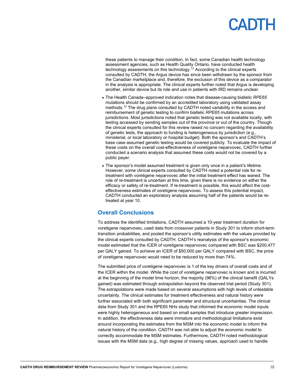these patients to manage their condition. In fact, some Canadian health technology assessment agencies, such as Health Quality Ontario, have conducted health technology assessments on this technology. $^{13}$  According to the clinical experts consulted by CADTH, the Argus device has since been withdrawn by the sponsor from the Canadian marketplace and, therefore, the exclusion of this device as a comparator in the analysis is appropriate. The clinical experts further noted that Argus is developing another, similar device but its role and use in patients with IRD remains unclear.

- The Health Canada–approved indication notes that disease-causing biallelic *RPE65* mutations should be confirmed by an accredited laboratory using validated assay methods.<sup>12</sup> The drug plans consulted by CADTH noted variability in the access and reimbursement of genetic testing to confirm biallelic *RPE65* mutations across jurisdictions. Most jurisdictions noted that genetic testing was not available locally, with testing accessed by sending samples out of the province or out of the country. Though the clinical experts consulted for this review raised no concern regarding the availability of genetic tests, the approach to funding is heterogeneous by jurisdiction (e.g., ministerial, or local laboratory or hospital budget). Both the sponsor's and CADTH's base case assumed genetic testing would be covered publicly. To evaluate the impact of these costs on the overall cost-effectiveness of voretigene neparvovec, CADTH further conducted a scenario analysis that assumed these costs would not be covered by a public payer.
- The sponsor's model assumed treatment is given only once in a patient's lifetime. However, some clinical experts consulted by CADTH noted a potential role for retreatment with voretigene neparvovec after the initial treatment effect has waned. The role of re-treatment is uncertain at this time, given there is no evidence on either the efficacy or safety of re-treatment. If re-treatment is possible, this would affect the costeffectiveness estimates of voretigene neparvovec. To assess this potential impact, CADTH conducted an exploratory analysis assuming half of the patients would be retreated at year 10.

### <span id="page-18-0"></span>**Overall Conclusions**

To address the identified limitations, CADTH assumed a 10-year treatment duration for voretigene neparvovec, used data from crossover patients in Study 301 to inform short-term transition probabilities, and pooled the sponsor's utility estimates with the values provided by the clinical experts consulted by CADTH. CADTH's reanalysis of the sponsor's economic model estimated that the ICER of voretigene neparvovec compared with BSC was \$200,477 per QALY gained. To achieve an ICER of \$50,000 per QALY compared with BSC, the price of voretigene neparvovec would need to be reduced by more than 74%.

The submitted price of voretigene neparvovec is 1 of the key drivers of overall costs and of the ICER within the model. While the cost of voretigene neparvovec is known and is incurred at the beginning of the model time horizon, the majority (96%) of the clinical benefit (QALYs gained) was estimated through extrapolation beyond the observed trial period (Study 301). The extrapolations were made based on several assumptions with high levels of untestable uncertainty. The clinical estimates for treatment effectiveness and natural history were further associated with both significant parameter and structural uncertainties. The clinical data from Study 301 and the RPE65 NHx study that informed the economic model inputs were highly heterogeneous and based on small samples that introduce greater imprecision. In addition, the effectiveness data were immature and methodological limitations exist around incorporating the estimates from the MSM into the economic model to inform the natural history of the condition. CADTH was not able to adjust the economic model to correctly accommodate the MSM estimates. Furthermore, CADTH noted methodological issues with the MSM data (e.g., high degree of missing values, approach used to handle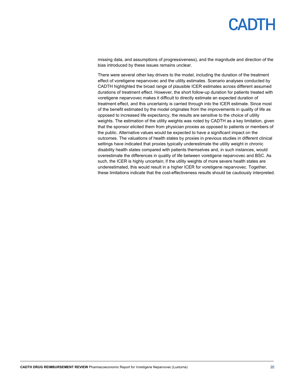missing data, and assumptions of progressiveness), and the magnitude and direction of the bias introduced by these issues remains unclear.

There were several other key drivers to the model, including the duration of the treatment effect of voretigene neparvovec and the utility estimates. Scenario analyses conducted by CADTH highlighted the broad range of plausible ICER estimates across different assumed durations of treatment effect. However, the short follow-up duration for patients treated with voretigene neparvovec makes it difficult to directly estimate an expected duration of treatment effect, and this uncertainty is carried through into the ICER estimate. Since most of the benefit estimated by the model originates from the improvements in quality of life as opposed to increased life expectancy, the results are sensitive to the choice of utility weights. The estimation of the utility weights was noted by CADTH as a key limitation, given that the sponsor elicited them from physician proxies as opposed to patients or members of the public. Alternative values would be expected to have a significant impact on the outcomes. The valuations of health states by proxies in previous studies in different clinical settings have indicated that proxies typically underestimate the utility weight in chronic disability health states compared with patients themselves and, in such instances, would overestimate the differences in quality of life between voretigene neparvovec and BSC. As such, the ICER is highly uncertain; if the utility weights of more severe health states are underestimated, this would result in a higher ICER for voretigene neparvovec. Together, these limitations indicate that the cost-effectiveness results should be cautiously interpreted.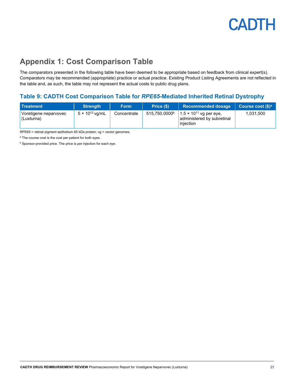## <span id="page-20-0"></span>**Appendix 1: Cost Comparison Table**

The comparators presented in the following table have been deemed to be appropriate based on feedback from clinical expert(s). Comparators may be recommended (appropriate) practice or actual practice. Existing Product Listing Agreements are not reflected in the table and, as such, the table may not represent the actual costs to public drug plans.

### <span id="page-20-1"></span>**Table 9: CADTH Cost Comparison Table for** *RPE65***-Mediated Inherited Retinal Dystrophy**

| <b>Treatment</b>                    | <b>Strength</b>          | <b>Form</b> | Price (\$)    | Recommended dosage                                                          | Course cost (\$) <sup>a</sup> , |
|-------------------------------------|--------------------------|-------------|---------------|-----------------------------------------------------------------------------|---------------------------------|
| Voretigene neparvovec<br>(Luxturna) | $5 \times 10^{12}$ vg/mL | Concentrate | 515.750.0000b | $1.5 \times 10^{11}$ vg per eye,<br>administered by subretinal<br>injection | 1,031,500                       |

RPE65 = retinal pigment epithelium 65 kDa protein; vg = vector genomes.

a The course cost is the cost per patient for both eyes.

**b** Sponsor-provided price. The price is per injection for each eye.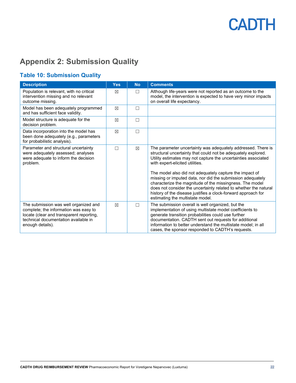## <span id="page-21-0"></span>**Appendix 2: Submission Quality**

### <span id="page-21-1"></span>**Table 10: Submission Quality**

| <b>Description</b>                                                                                                                                                                     | <b>Yes</b>  | <b>No</b>   | <b>Comments</b>                                                                                                                                                                                                                                                                                                                                                                                                                                                                                                                                                                                  |
|----------------------------------------------------------------------------------------------------------------------------------------------------------------------------------------|-------------|-------------|--------------------------------------------------------------------------------------------------------------------------------------------------------------------------------------------------------------------------------------------------------------------------------------------------------------------------------------------------------------------------------------------------------------------------------------------------------------------------------------------------------------------------------------------------------------------------------------------------|
| Population is relevant, with no critical<br>intervention missing and no relevant<br>outcome missing.                                                                                   | ⊠           | $\Box$      | Although life-years were not reported as an outcome to the<br>model, the intervention is expected to have very minor impacts<br>on overall life expectancy.                                                                                                                                                                                                                                                                                                                                                                                                                                      |
| Model has been adequately programmed<br>and has sufficient face validity.                                                                                                              | $\boxtimes$ | П           |                                                                                                                                                                                                                                                                                                                                                                                                                                                                                                                                                                                                  |
| Model structure is adequate for the<br>decision problem.                                                                                                                               | ⊠           | П           |                                                                                                                                                                                                                                                                                                                                                                                                                                                                                                                                                                                                  |
| Data incorporation into the model has<br>been done adequately (e.g., parameters<br>for probabilistic analysis).                                                                        | $\boxtimes$ | П           |                                                                                                                                                                                                                                                                                                                                                                                                                                                                                                                                                                                                  |
| Parameter and structural uncertainty<br>were adequately assessed; analyses<br>were adequate to inform the decision<br>problem.                                                         | П           | $\boxtimes$ | The parameter uncertainty was adequately addressed. There is<br>structural uncertainty that could not be adequately explored.<br>Utility estimates may not capture the uncertainties associated<br>with expert-elicited utilities.<br>The model also did not adequately capture the impact of<br>missing or imputed data, nor did the submission adequately<br>characterize the magnitude of the missingness. The model<br>does not consider the uncertainty related to whether the natural<br>history of the disease justifies a clock-forward approach for<br>estimating the multistate model. |
| The submission was well organized and<br>complete; the information was easy to<br>locate (clear and transparent reporting,<br>technical documentation available in<br>enough details). | $\boxtimes$ | П           | The submission overall is well organized, but the<br>implementation of using multistate model coefficients to<br>generate transition probabilities could use further<br>documentation. CADTH sent out requests for additional<br>information to better understand the multistate model; in all<br>cases, the sponsor responded to CADTH's requests.                                                                                                                                                                                                                                              |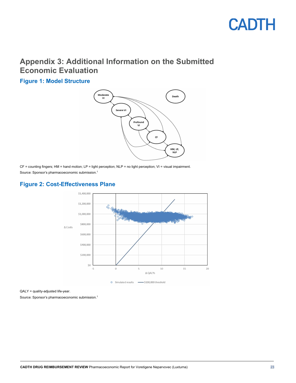## <span id="page-22-0"></span>**Appendix 3: Additional Information on the Submitted Economic Evaluation**

<span id="page-22-1"></span>**Figure 1: Model Structure**



CF = counting fingers; HM = hand motion; LP = light perception; NLP = no light perception; VI = visual impairment. Source: Sponsor's pharmacoeconomic submission. 1

### <span id="page-22-2"></span>**Figure 2: Cost-Effectiveness Plane**



QALY = quality-adjusted life-year.

Source: Sponsor's pharmacoeconomic submission. 1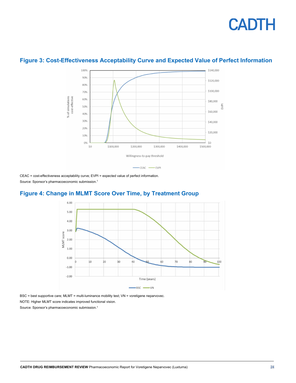

### <span id="page-23-0"></span>**Figure 3: Cost-Effectiveness Acceptability Curve and Expected Value of Perfect Information**

CEAC = cost-effectiveness acceptability curve; EVPI = expected value of perfect information. Source: Sponsor's pharmacoeconomic submission. 1

### <span id="page-23-1"></span>**Figure 4: Change in MLMT Score Over Time, by Treatment Group**



BSC = best supportive care; MLMT = multi-luminance mobility test; VN = voretigene neparvovec. NOTE: Higher MLMT score indicates improved functional vision. Source: Sponsor's pharmacoeconomic submission. 1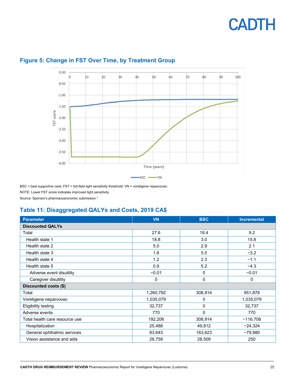

### <span id="page-24-1"></span>**Figure 5: Change in FST Over Time, by Treatment Group**

BSC = best supportive care; FST = full-field light sensitivity threshold; VN = voretigene neparvovec. NOTE: Lower FST score indicates improved light sensitivity. Source: Sponsor's pharmacoeconomic submission. 1

<span id="page-24-0"></span>

### **Table 11: Disaggregated QALYs and Costs, 2019 CA\$**

| <b>Parameter</b>               | <b>VN</b> | <b>BSC</b> | <b>Incremental</b> |
|--------------------------------|-----------|------------|--------------------|
| <b>Discounted QALYs</b>        |           |            |                    |
| Total                          | 27.6      | 18.4       | 9.2                |
| Health state 1                 | 18.8      | 3.0        | 15.8               |
| Health state 2                 | 5.0       | 2.9        | 2.1                |
| Health state 3                 | 1.8       | 5.0        | $-3.2$             |
| Health state 4                 | 1.2       | 2.3        | $-1.1$             |
| Health state 5                 | 0.9       | 5.2        | $-4.3$             |
| Adverse event disutility       | $-0.01$   | 0          | $-0.01$            |
| Caregiver disutility           | 0         | 0          | $\mathbf 0$        |
| Discounted costs (\$)          |           |            |                    |
| Total                          | 1,260,792 | 308,914    | 951,878            |
| Voretigene neparvovec          | 1,035,079 | 0          | 1,035,079          |
| <b>Eligibility testing</b>     | 32,737    | 0          | 32,737             |
| Adverse events                 | 770       | $\Omega$   | 770                |
| Total health care resource use | 192,206   | 308,914    | $-116,708$         |
| Hospitalization                | 25,488    | 49,812     | $-24,324$          |
| General ophthalmic services    | 83,643    | 163,623    | $-79,980$          |
| Vision assistance and aids     | 28,759    | 28,509     | 250                |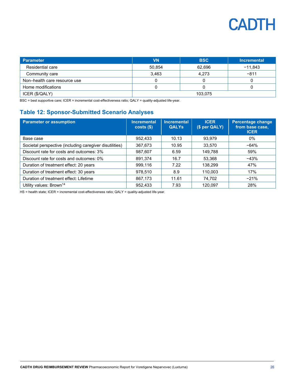| <b>Parameter</b>             | VN      | <b>BSC</b> | <b>Incremental</b> |  |
|------------------------------|---------|------------|--------------------|--|
| Residential care             | 50,854  | 62,696     | $-11,843$          |  |
| Community care               | 3,463   | 4,273      | $-811$             |  |
| Non-health care resource use |         |            |                    |  |
| Home modifications           |         |            |                    |  |
| ICER (\$/QALY)               | 103.075 |            |                    |  |

BSC = best supportive care; ICER = incremental cost-effectiveness ratio; QALY = quality-adjusted life-year.

### <span id="page-25-0"></span>**Table 12: Sponsor-Submitted Scenario Analyses**

| <b>Parameter or assumption</b>                          | <b>Incremental</b><br>costs( | <b>Incremental</b><br><b>QALYS</b> | <b>ICER</b><br>(\$ per QALY) | <b>Percentage change</b><br>from base case,<br><b>ICER</b> |
|---------------------------------------------------------|------------------------------|------------------------------------|------------------------------|------------------------------------------------------------|
| Base case                                               | 952,433                      | 10.13                              | 93,979                       | 0%                                                         |
| Societal perspective (including caregiver disutilities) | 367,673                      | 10.95                              | 33,570                       | $-64%$                                                     |
| Discount rate for costs and outcomes: 3%                | 987,607                      | 6.59                               | 149,788                      | 59%                                                        |
| Discount rate for costs and outcomes: 0%                | 891,374                      | 16.7                               | 53,368                       | $-43%$                                                     |
| Duration of treatment effect: 20 years                  | 999.116                      | 7.22                               | 138.299                      | 47%                                                        |
| Duration of treatment effect: 30 years                  | 978.510                      | 8.9                                | 110.003                      | 17%                                                        |
| Duration of treatment effect: Lifetime                  | 867,173                      | 11.61                              | 74,702                       | $-21%$                                                     |
| Utility values: Brown <sup>14</sup>                     | 952,433                      | 7.93                               | 120,097                      | 28%                                                        |

HS = health state; ICER = incremental cost-effectiveness ratio; QALY = quality-adjusted life-year.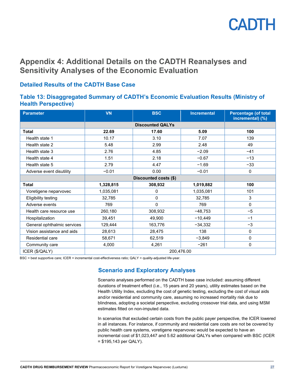

## <span id="page-26-0"></span>**Appendix 4: Additional Details on the CADTH Reanalyses and Sensitivity Analyses of the Economic Evaluation**

### **Detailed Results of the CADTH Base Case**

### <span id="page-26-1"></span>**Table 13: Disaggregated Summary of CADTH's Economic Evaluation Results (Ministry of Health Perspective)**

| <b>Parameter</b>            | <b>VN</b> | <b>BSC</b>              | <b>Incremental</b> | <b>Percentage (of total</b><br>incremental) (%) |  |  |
|-----------------------------|-----------|-------------------------|--------------------|-------------------------------------------------|--|--|
|                             |           | <b>Discounted QALYs</b> |                    |                                                 |  |  |
| <b>Total</b>                | 22.69     | 17.60                   | 5.09               | 100                                             |  |  |
| Health state 1              | 10.17     | 3.10                    | 7.07               | 139                                             |  |  |
| Health state 2              | 5.48      | 2.99                    | 2.48               | 49                                              |  |  |
| Health state 3              | 2.76      | 4.85                    | $-2.09$            | $-41$                                           |  |  |
| Health state 4              | 1.51      | 2.18                    | $-0.67$            | $-13$                                           |  |  |
| Health state 5              | 2.79      | 4.47                    | $-1.69$            | $-33$                                           |  |  |
| Adverse event disutility    | $-0.01$   | 0.00                    | $-0.01$            | $\mathbf 0$                                     |  |  |
|                             |           | Discounted costs (\$)   |                    |                                                 |  |  |
| <b>Total</b>                | 1,328,815 | 308,932                 | 1,019,882          | 100                                             |  |  |
| Voretigene neparvovec       | 1,035,081 | 0                       | 1,035,081          | 101                                             |  |  |
| <b>Eligibility testing</b>  | 32,785    | 0                       | 32,785             | 3                                               |  |  |
| Adverse events              | 769       | $\Omega$                | 769                | 0                                               |  |  |
| Health care resource use    | 260,180   | 308,932                 | $-48,753$          | $-5$                                            |  |  |
| Hospitalization             | 39,451    | 49,900                  | $-10,449$          | $-1$                                            |  |  |
| General ophthalmic services | 129,444   | 163,776                 | $-34,332$          | $-3$                                            |  |  |
| Vision assistance and aids  | 28,613    | 28,475                  | 138                | 0                                               |  |  |
| Residential care            | 58,671    | 62,519                  | $-3,849$           | 0                                               |  |  |
| Community care              | 4,000     | 4,261                   | $-261$             | 0                                               |  |  |
| ICER (\$/QALY)              |           | 200,476.00              |                    |                                                 |  |  |

BSC = best supportive care; ICER = incremental cost-effectiveness ratio; QALY = quality-adjusted life-year.

### **Scenario and Exploratory Analyses**

Scenario analyses performed on the CADTH base case included: assuming different durations of treatment effect (i.e., 15 years and 20 years), utility estimates based on the Health Utility Index, excluding the cost of genetic testing, excluding the cost of visual aids and/or residential and community care, assuming no increased mortality risk due to blindness, adopting a societal perspective, excluding crossover trial data, and using MSM estimates fitted on non-imputed data.

In scenarios that excluded certain costs from the public payer perspective, the ICER lowered in all instances. For instance, if community and residential care costs are not be covered by public health care systems, voretigene neparvovec would be expected to have an incremental cost of \$1,023,447 and 5.62 additional QALYs when compared with BSC (ICER = \$195,143 per QALY).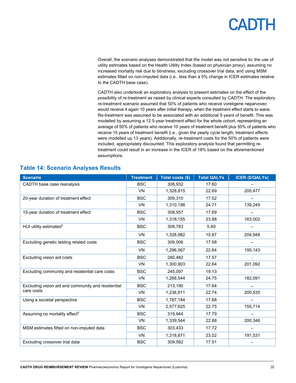Overall, the scenario analyses demonstrated that the model was not sensitive to: the use of utility estimates based on the Health Utility Index (based on physician proxy), assuming no increased mortality risk due to blindness, excluding crossover trial data, and using MSM estimates fitted on non-imputed data (i.e., less than a 5% change in ICER estimates relative to the CADTH base case).

CADTH also undertook an exploratory analysis to present estimates on the effect of the possibility of re-treatment as raised by clinical experts consulted by CADTH. The exploratory re-treatment scenario assumed that 50% of patients who receive voretigene neparvovec would receive it again 10 years after initial therapy, when the treatment effect starts to wane. Re-treatment was assumed to be associated with an additional 5 years of benefit. This was modelled by assuming a 12.5-year treatment effect for the whole cohort, representing an average of 50% of patients who receive 10 years of treatment benefit plus 50% of patients who receive 15 years of treatment benefit (i.e., given the yearly cycle length, treatment effects were modelled up 13 years). Additionally, re-treatment costs for the 50% of patients were included, appropriately discounted. This exploratory analysis found that permitting retreatment could result in an increase in the ICER of 18% based on the aforementioned assumptions.

| <b>Scenario</b>                                    | <b>Treatment</b> | Total costs (\$) | <b>Total QALYs</b> | <b>ICER (\$/QALYs)</b> |
|----------------------------------------------------|------------------|------------------|--------------------|------------------------|
| CADTH base case reanalysis                         | <b>BSC</b>       | 308,932          | 17.60              |                        |
|                                                    | <b>VN</b>        | 1,328,815        | 22.69              | 200.477                |
| 20-year duration of treatment effect               | <b>BSC</b>       | 309,310          | 17.52              |                        |
|                                                    | <b>VN</b>        | 1,310,198        | 24.71              | 139,249                |
| 15-year duration of treatment effect               | <b>BSC</b>       | 308,557          | 17.69              |                        |
|                                                    | <b>VN</b>        | 1,318,155        | 23.88              | 163,002                |
| HUI utility estimates <sup>6</sup>                 | <b>BSC</b>       | 308,783          | 5.89               |                        |
|                                                    | VN               | 1,328,982        | 10.87              | 204,948                |
| Excluding genetic testing related costs            | <b>BSC</b>       | 309,006          | 17.58              |                        |
|                                                    | <b>VN</b>        | 1,296,567        | 22.64              | 195,143                |
| Excluding vision aid costs                         | <b>BSC</b>       | 280,482          | 17.57              |                        |
|                                                    | <b>VN</b>        | 1,300,903        | 22.64              | 201,092                |
| Excluding community and residential care costs     | <b>BSC</b>       | 245.097          | 19.13              |                        |
|                                                    | <b>VN</b>        | 1,268,544        | 24.75              | 182,091                |
| Excluding vision aid and community and residential | <b>BSC</b>       | 213,190          | 17.64              |                        |
| care costs                                         | <b>VN</b>        | 1,236,911        | 22.74              | 200,535                |
| Using a societal perspective                       | <b>BSC</b>       | 1,787,184        | 17.68              |                        |
|                                                    | <b>VN</b>        | 2,577,625        | 22.75              | 155,714                |
| Assuming no mortality effect <sup>5</sup>          | <b>BSC</b>       | 319,944          | 17.79              |                        |
|                                                    | <b>VN</b>        | 1,339,544        | 22.88              | 200,346                |
| MSM estimates fitted on non-imputed data           | <b>BSC</b>       | 303,433          | 17.72              |                        |
|                                                    | <b>VN</b>        | 1,318,871        | 23.02              | 191,531                |
| Excluding crossover trial data                     | <b>BSC</b>       | 309,582          | 17.51              |                        |

### <span id="page-27-0"></span>**Table 14: Scenario Analyses Results**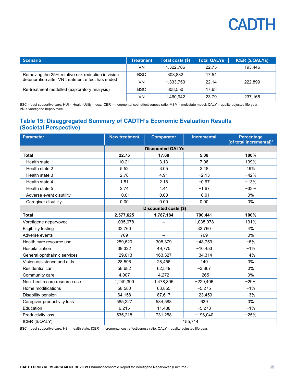| <b>Scenario</b>                                    | <b>Treatment</b> | Total costs (\$) | <b>Total QALYs</b> | <b>ICER (\$/QALYs)</b> |
|----------------------------------------------------|------------------|------------------|--------------------|------------------------|
|                                                    | VN.              | 1.322.786        | 22.75              | 193.446                |
| Removing the 25% relative risk reduction in vision | <b>BSC</b>       | 308.832          | 17.54              |                        |
| deterioration after VN treatment effect has ended  | VN               | 1.333.750        | 22.14              | 222.899                |
| Re-treatment modelled (exploratory analysis)       | <b>BSC</b>       | 308.550          | 17.63              |                        |
|                                                    | VN               | 1,460,942        | 23.79              | 237.165                |

BSC = best supportive care; HUI = Health Utility Index; ICER = incremental cost-effectiveness ratio; MSM = multistate model; QALY = quality-adjusted life-year; VN = voretigene neparvovec.

### <span id="page-28-0"></span>**Table 15: Disaggregated Summary of CADTH's Economic Evaluation Results (Societal Perspective)**

| <b>Parameter</b>             | <b>New treatment</b> | <b>Comparator</b>       | <b>Incremental</b> | <b>Percentage</b><br>(of total incremental) <sup>a</sup> |  |
|------------------------------|----------------------|-------------------------|--------------------|----------------------------------------------------------|--|
|                              |                      | <b>Discounted QALYs</b> |                    |                                                          |  |
| <b>Total</b>                 | 22.75                | 17.68                   | 5.08               | 100%                                                     |  |
| Health state 1               | 10.21                | 3.13                    | 7.08               | 139%                                                     |  |
| Health state 2               | 5.52                 | 3.05                    | 2.48               | 49%                                                      |  |
| Health state 3               | 2.78                 | 4.91                    | $-2.13$            | $-42%$                                                   |  |
| Health state 4               | 1.51                 | 2.18                    | $-0.67$            | $-13%$                                                   |  |
| Health state 5               | 2.74                 | 4.41                    | $-1.67$            | $-33%$                                                   |  |
| Adverse event disutility     | $-0.01$              | 0.00                    | $-0.01$            | 0%                                                       |  |
| Caregiver disutility         | 0.00                 | 0.00                    | 0.00               | $0\%$                                                    |  |
|                              |                      | Discounted costs (\$)   |                    |                                                          |  |
| <b>Total</b>                 | 2,577,625            | 1,787,184               | 790,441            | 100%                                                     |  |
| Voretigene neparvovec        | 1,035,078            |                         | 1,035,078          | 131%                                                     |  |
| <b>Eligibility testing</b>   | 32.760               |                         | 32,760             | 4%                                                       |  |
| Adverse events               | 769                  |                         | 769                | 0%                                                       |  |
| Health care resource use     | 259,620              | 308,379                 | $-48,759$          | $-6%$                                                    |  |
| Hospitalization              | 39,322               | 49,775                  | $-10,453$          | $-1%$                                                    |  |
| General ophthalmic services  | 129,013              | 163,327                 | $-34,314$          | $-4%$                                                    |  |
| Vision assistance and aids   | 28,596               | 28,456                  | 140                | 0%                                                       |  |
| Residential car              | 58,682               | 62,549                  | $-3,867$           | 0%                                                       |  |
| Community care               | 4,007                | 4.272                   | $-265$             | 0%                                                       |  |
| Non-health care resource use | 1,249,399            | 1,478,805               | $-229,406$         | $-29%$                                                   |  |
| Home modifications           | 58,580               | 63,855                  | $-5,275$           | $-1%$                                                    |  |
| Disability pension           | 64,158               | 87,617                  | $-23,459$          | $-3%$                                                    |  |
| Caregiver productivity loss  | 585,227              | 584,588                 | 639                | $0\%$                                                    |  |
| Education                    | 6,215                | 11,488                  | $-5,273$           | $-1%$                                                    |  |
| Productivity loss            | 535,218              | 731,258                 | $-196,040$         | $-25%$                                                   |  |
| ICER (\$/QALY)               | 155,714              |                         |                    |                                                          |  |

BSC = best supportive care; HS = health state; ICER = incremental cost-effectiveness ratio; QALY = quality-adjusted life-year.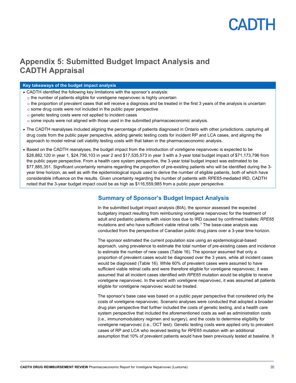## <span id="page-29-0"></span>**Appendix 5: Submitted Budget Impact Analysis and CADTH Appraisal**

#### **Key takeaways of the budget impact analysis**

- CADTH identified the following key limitations with the sponsor's analysis:
	- o the number of patients eligible for voretigene neparvovec is highly uncertain
	- o the proportion of prevalent cases that will receive a diagnosis and be treated in the first 3 years of the analysis is uncertain
	- o some drug costs were not included in the public payer perspective
	- o genetic testing costs were not applied to incident cases
	- $\circ$  some inputs were not aligned with those used in the submitted pharmacoeconomic analysis.
- The CADTH reanalyses included aligning the percentage of patients diagnosed in Ontario with other jurisdictions, capturing all drug costs from the public payer perspective, adding genetic testing costs for incident RP and LCA cases, and aligning the approach to model retinal cell viability testing costs with that taken in the pharmacoeconomic analysis.
- Based on the CADTH reanalyses, the budget impact from the introduction of voretigene neparvovec is expected to be \$28,882,120 in year 1, \$24,756,103 in year 2 and \$17,535,573 in year 3 with a 3-year total budget impact of \$71,173,796 from the public payer perspective. From a health care system perspective, the 3-year total budget impact was estimated to be \$77,885,351. Significant uncertainty remains regarding the proportion of pre-existing patients who will be identified during the 3 year time horizon, as well as with the epidemiological inputs used to derive the number of eligible patients, both of which have considerable influence on the results. Given uncertainty regarding the number of patients with *RPE65*-mediated IRD, CADTH noted that the 3-year budget impact could be as high as \$116,559,985 from a public payer perspective.

### **Summary of Sponsor's Budget Impact Analysis**

In the submitted budget impact analysis (BIA), the sponsor assessed the expected budgetary impact resulting from reimbursing voretigene neparvovec for the treatment of adult and pediatric patients with vision loss due to IRD caused by confirmed biallelic *RPE65* mutations and who have sufficient viable retinal cells.1 The base-case analysis was conducted from the perspective of Canadian public drug plans over a 3-year time horizon.

The sponsor estimated the current population size using an epidemiological-based approach, using prevalence to estimate the total number of pre-existing cases and incidence to estimate the number of new cases [\(Table 16\)](#page-30-0). The sponsor assumed that only a proportion of prevalent cases would be diagnosed over the 3 years, while all incident cases would be diagnosed [\(Table 16\)](#page-30-0). While 60% of prevalent cases were assumed to have sufficient viable retinal cells and were therefore eligible for voretigene neparvovec, it was assumed that all incident cases identified with *RPE65* mutation would be eligible to receive voretigene neparvovec. In the world with voretigene neparvovec, it was assumed all patients eligible for voretigene neparvovec would be treated.

The sponsor's base case was based on a public payer perspective that considered only the costs of voretigene neparvovec. Scenario analyses were conducted that adopted a broader drug plan perspective that further included the costs of genetic testing, and a health care system perspective that included the aforementioned costs as well as administration costs (i.e., immunomodulatory regimen and surgery), and the costs to determine eligibility for voretigene neparvovec (i.e., OCT test). Genetic testing costs were applied only to prevalent cases of RP and LCA who received testing for *RPE65* mutation with an additional assumption that 10% of prevalent patients would have been previously tested at baseline. It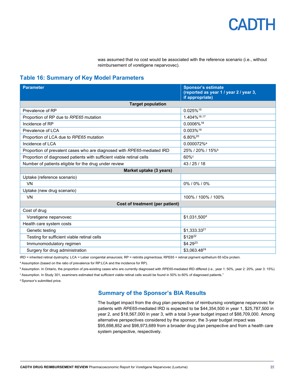was assumed that no cost would be associated with the reference scenario (i.e., without reimbursement of voretigene neparvovec).

### <span id="page-30-0"></span>**Table 16: Summary of Key Model Parameters**

| <b>Parameter</b>                                                        | <b>Sponsor's estimate</b><br>(reported as year 1 / year 2 / year 3,<br>if appropriate) |  |  |  |  |
|-------------------------------------------------------------------------|----------------------------------------------------------------------------------------|--|--|--|--|
| <b>Target population</b>                                                |                                                                                        |  |  |  |  |
| Prevalence of RP                                                        | 0.025%15                                                                               |  |  |  |  |
| Proportion of RP due to RPE65 mutation                                  | 1.404%16,17                                                                            |  |  |  |  |
| Incidence of RP                                                         | 0.0006%18                                                                              |  |  |  |  |
| Prevalence of LCA                                                       | 0.003%19                                                                               |  |  |  |  |
| Proportion of LCA due to RPE65 mutation                                 | 6.80%20                                                                                |  |  |  |  |
| Incidence of LCA                                                        | 0.000072% <sup>a</sup>                                                                 |  |  |  |  |
| Proportion of prevalent cases who are diagnosed with RPE65-mediated IRD | 25% / 20% / 15% <sup>b</sup>                                                           |  |  |  |  |
| Proportion of diagnosed patients with sufficient viable retinal cells   | $60\%$                                                                                 |  |  |  |  |
| Number of patients eligible for the drug under review                   | 43 / 25 / 18                                                                           |  |  |  |  |
| Market uptake (3 years)                                                 |                                                                                        |  |  |  |  |
| Uptake (reference scenario)                                             |                                                                                        |  |  |  |  |
| <b>VN</b>                                                               | 0%/0%/0%                                                                               |  |  |  |  |
| Uptake (new drug scenario)                                              |                                                                                        |  |  |  |  |
| <b>VN</b>                                                               | 100% / 100% / 100%                                                                     |  |  |  |  |
| Cost of treatment (per patient)                                         |                                                                                        |  |  |  |  |
| Cost of drug                                                            |                                                                                        |  |  |  |  |
| Voretigene neparvovec                                                   | \$1,031,500 <sup>d</sup>                                                               |  |  |  |  |
| Health care system costs                                                |                                                                                        |  |  |  |  |
| Genetic testing                                                         | \$1,333.3321                                                                           |  |  |  |  |
| Testing for sufficient viable retinal cells                             | \$12822                                                                                |  |  |  |  |
| Immunomodulatory regimen                                                | \$4.2923                                                                               |  |  |  |  |
| Surgery for drug administration                                         | \$3,063.4824                                                                           |  |  |  |  |

IRD = inherited retinal dystrophy; LCA = Leber congenital amaurosis; RP = retinitis pigmentosa; RPE65 = retinal pigment epithelium 65 kDa protein.

a Assumption (based on the ratio of prevalence for RP:LCA and the incidence for RP).

b Assumption. In Ontario, the proportion of pre-existing cases who are currently diagnosed with *RPE65*-mediated IRD differed (i.e., year 1: 50%, year 2: 20%, year 3: 15%).

<sup>c</sup> Assumption. In Study 301, examiners estimated that sufficient viable retinal cells would be found in 50% to 60% of diagnosed patients.<sup>1</sup>

d Sponsor's submitted price.

### **Summary of the Sponsor's BIA Results**

The budget impact from the drug plan perspective of reimbursing voretigene neparvovec for patients with *RPE65*-mediated IRD is expected to be \$44,354,500 in year 1, \$25,787,500 in year 2, and \$18,567,000 in year 3, with a total 3-year budget impact of \$88,709,000. Among alternative perspectives considered by the sponsor, the 3-year budget impact was \$95,698,852 and \$98,973,689 from a broader drug plan perspective and from a health care system perspective, respectively.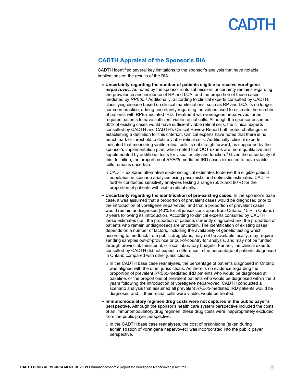

### **CADTH Appraisal of the Sponsor's BIA**

CADTH identified several key limitations to the sponsor's analysis that have notable implications on the results of the BIA:

- **Uncertainty regarding the number of patients eligible to receive voretigene neparvovec**. As noted by the sponsor in its submission, uncertainty remains regarding the prevalence and incidence of RP and LCA, and the proportion of these cases mediated by *RPE65*.<sup>1</sup> Additionally, according to clinical experts consulted by CADTH, classifying disease based on clinical manifestations, such as RP and LCA, is no longer common practice, adding uncertainty regarding the values used to estimate the number of patients with RPE-mediated IRD. Treatment with voretigene neparvovec further requires patients to have sufficient viable retinal cells. Although the sponsor assumed 60% of existing cases would have sufficient viable retinal cells, the clinical experts consulted by CADTH and CADTH's Clinical Review Report both noted challenges in establishing a definition for this criterion. Clinical experts have noted that there is no benchmark or threshold to define viable retinal cells. Additionally, clinical experts indicated that measuring viable retinal cells is not straightforward, as supported by the sponsor's implementation plan, which noted that OCT exams are more qualitative and supplemented by additional tests for visual acuity and function.<sup>3</sup> Given the uncertainty of this definition, the proportion of *RPE65*-mediated IRD cases expected to have viable cells remains uncertain.
	- $\circ$  CADTH explored alternative epidemiological estimates to derive the eligible patient population in scenario analyses using pessimistic and optimistic estimates. CADTH further conducted sensitivity analyses testing a range (50% and 80%) for the proportion of patients with viable retinal cells.
- **Uncertainty regarding the identification of pre-existing cases.** In the sponsor's base case, it was assumed that a proportion of prevalent cases would be diagnosed prior to the introduction of voretigene neparvovec, and that a proportion of prevalent cases would remain undiagnosed (40% for all jurisdictions apart from Ontario, 15% in Ontario) 3 years following its introduction. According to clinical experts consulted by CADTH, these estimates (i.e., the proportion of patients currently diagnosed and the proportion of patients who remain undiagnosed) are uncertain. The identification of existing cases depends on a number of factors, including the availability of genetic testing which, according to feedback from public drug plans, may not be available locally, may require sending samples out-of-province or out-of-country for analysis, and may not be funded through provincial, ministerial, or local laboratory budgets. Further, the clinical experts consulted by CADTH did not expect a difference in the percentage of patients diagnosed in Ontario compared with other jurisdictions.
	- $\circ$  In the CADTH base case reanalyses, the percentage of patients diagnosed in Ontario was aligned with the other jurisdictions. As there is no evidence regarding the proportion of prevalent *RPE65*-mediated IRD patients who would be diagnosed at baseline, or the proportions of prevalent patients who would be diagnosed within the 3 years following the introduction of voretigene neparvovec, CADTH conducted a scenario analysis that assumed all prevalent *RPE65*-mediated IRD patients would be diagnosed and, if their retinal cells were viable, would be treated.
- **Immunomodulatory regimen drug costs were not captured in the public payer's perspective.** Although the sponsor's health care system perspective included the costs of an immunomodulatory drug regimen, these drug costs were inappropriately excluded from the public payer perspective.
	- o In the CADTH base case reanalyses, the cost of prednisone (taken during administration of voretigene neparvovec) was incorporated into the public payer perspective.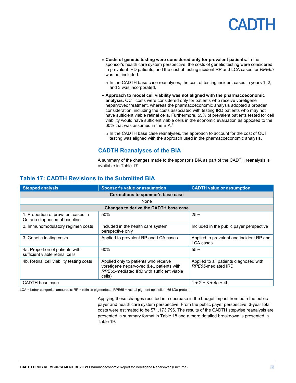- **Costs of genetic testing were considered only for prevalent patients.** In the sponsor's health care system perspective, the costs of genetic testing were considered in prevalent IRD patients, and the cost of testing incident RP and LCA cases for *RPE65* was not included.
	- $\circ$  In the CADTH base case reanalyses, the cost of testing incident cases in years 1, 2, and 3 was incorporated.
- **Approach to model cell viability was not aligned with the pharmacoeconomic analysis.** OCT costs were considered only for patients who receive voretigene neparvovec treatment, whereas the pharmacoeconomic analysis adopted a broader consideration, including the costs associated with testing IRD patients who may not have sufficient viable retinal cells. Furthermore, 55% of prevalent patients tested for cell viability would have sufficient viable cells in the economic evaluation as opposed to the 60% that was assumed in the BIA.1
	- o In the CADTH base case reanalyses, the approach to account for the cost of OCT testing was aligned with the approach used in the pharmacoeconomic analysis.

### **CADTH Reanalyses of the BIA**

A summary of the changes made to the sponsor's BIA as part of the CADTH reanalysis is available in [Table 17.](#page-32-0)

| <b>Stepped analysis</b>                                              | Sponsor's value or assumption                                                                                                             |                                                              |  |  |  |  |  |
|----------------------------------------------------------------------|-------------------------------------------------------------------------------------------------------------------------------------------|--------------------------------------------------------------|--|--|--|--|--|
| Corrections to sponsor's base case                                   |                                                                                                                                           |                                                              |  |  |  |  |  |
|                                                                      | None                                                                                                                                      |                                                              |  |  |  |  |  |
|                                                                      | Changes to derive the CADTH base case                                                                                                     |                                                              |  |  |  |  |  |
| 1. Proportion of prevalent cases in<br>Ontario diagnosed at baseline | 50%                                                                                                                                       | 25%                                                          |  |  |  |  |  |
| 2. Immunomodulatory regimen costs                                    | Included in the health care system<br>perspective only                                                                                    | Included in the public payer perspective                     |  |  |  |  |  |
| 3. Genetic testing costs                                             | Applied to prevalent RP and LCA cases                                                                                                     | Applied to prevalent and incident RP and<br>LCA cases        |  |  |  |  |  |
| 4a. Proportion of patients with<br>sufficient viable retinal cells   | 60%                                                                                                                                       | 55%                                                          |  |  |  |  |  |
| 4b. Retinal cell viability testing costs                             | Applied only to patients who receive<br>voretigene neparvovec (i.e., patients with<br>RPE65-mediated IRD with sufficient viable<br>cells) | Applied to all patients diagnosed with<br>RPE65-mediated IRD |  |  |  |  |  |
| CADTH base case                                                      |                                                                                                                                           | $1 + 2 + 3 + 4a + 4b$                                        |  |  |  |  |  |

### <span id="page-32-0"></span>**Table 17: CADTH Revisions to the Submitted BIA**

LCA = Leber congenital amaurosis; RP = retinitis pigmentosa; RPE65 = retinal pigment epithelium 65 kDa protein.

Applying these changes resulted in a decrease in the budget impact from both the public payer and health care system perspective. From the public payer perspective, 3-year total costs were estimated to be \$71,173,796. The results of the CADTH stepwise reanalysis are presented in summary format i[n Table 18](#page-33-0) and a more detailed breakdown is presented in [Table 19.](#page-34-0)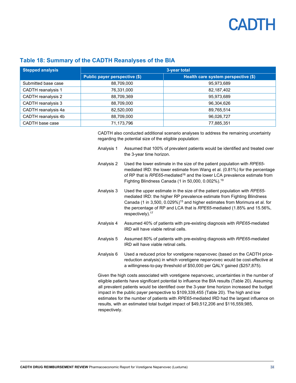| <b>Stepped analysis</b>   | 3-year total                  |                                     |  |  |  |
|---------------------------|-------------------------------|-------------------------------------|--|--|--|
|                           | Public payer perspective (\$) | Health care system perspective (\$) |  |  |  |
| Submitted base case       | 88,709,000                    | 95,973,689                          |  |  |  |
| <b>CADTH</b> reanalysis 1 | 76,331,000                    | 82,187,402                          |  |  |  |
| CADTH reanalysis 2        | 88,709,369                    | 95,973,689                          |  |  |  |
| CADTH reanalysis 3        | 88,709,000                    | 96,304,626                          |  |  |  |
| CADTH reanalysis 4a       | 82,520,000                    | 89,765,514                          |  |  |  |
| CADTH reanalysis 4b       | 88,709,000                    | 96,026,727                          |  |  |  |
| CADTH base case           | 71,173,796                    | 77,885,351                          |  |  |  |

### <span id="page-33-0"></span>**Table 18: Summary of the CADTH Reanalyses of the BIA**

CADTH also conducted additional scenario analyses to address the remaining uncertainty regarding the potential size of the eligible population:

- Analysis 1 Assumed that 100% of prevalent patients would be identified and treated over the 3-year time horizon. Analysis 2 Used the lower estimate in the size of the patient population with *RPE65* mediated IRD: the lower estimate from Wang et al. (0.81%) for the percentage of RP that is *RPE65*-mediated16 and the lower LCA prevalence estimate from Fighting Blindness Canada (1 in 50,000, 0.002%). 19 Analysis 3 Used the upper estimate in the size of the patient population with *RPE65* mediated IRD: the higher RP prevalence estimate from Fighting Blindness Canada (1 in 3,500, 0.029%)15 and higher estimates from Morimura et al. for the percentage of RP and LCA that is *RPE65*-mediated (1.85% and 15.56%, respectively). 17 Analysis 4 Assumed 40% of patients with pre-existing diagnosis with *RPE65*-mediated IRD will have viable retinal cells. Analysis 5 Assumed 80% of patients with pre-existing diagnosis with *RPE65*-mediated IRD will have viable retinal cells.
- Analysis 6 Used a reduced price for voretigene neparvovec (based on the CADTH pricereduction analysis) in which voretigene neparvovec would be cost-effective at a willingness-to-pay threshold of \$50,000 per QALY gained (\$257,875).

Given the high costs associated with voretigene neparvovec, uncertainties in the number of eligible patients have significant potential to influence the BIA results [\(Table 20\)](#page-34-1). Assuming all prevalent patients would be identified over the 3-year time horizon increased the budget impact in the public payer perspective to \$109,339,455 [\(Table 20\)](#page-34-1). The high and low estimates for the number of patients with *RPE65*-mediated IRD had the largest influence on results, with an estimated total budget impact of \$49,512,206 and \$116,559,985, respectively.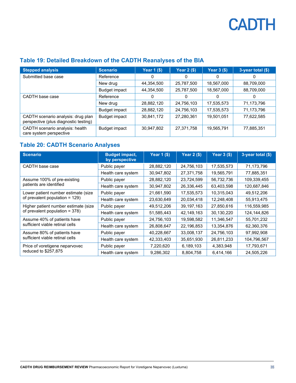| <b>Stepped analysis</b>                                                     | <b>Scenario</b> | <b>Year 1 (\$)</b> | <b>Year 2 (\$)</b> | Year $3$ (\$) | 3-year total (\$) |
|-----------------------------------------------------------------------------|-----------------|--------------------|--------------------|---------------|-------------------|
| Submitted base case                                                         | Reference       | 0                  | 0                  | 0             | 0                 |
|                                                                             | New drug        | 44,354,500         | 25,787,500         | 18,567,000    | 88,709,000        |
|                                                                             | Budget impact   | 44,354,500         | 25,787,500         | 18,567,000    | 88,709,000        |
| CADTH base case                                                             | Reference       | 0                  | 0                  | 0             | 0                 |
|                                                                             | New drug        | 28,882,120         | 24,756,103         | 17,535,573    | 71,173,796        |
|                                                                             | Budget impact   | 28,882,120         | 24,756,103         | 17,535,573    | 71,173,796        |
| CADTH scenario analysis: drug plan<br>perspective (plus diagnostic testing) | Budget impact   | 30,841,172         | 27,280,361         | 19,501,051    | 77,622,585        |
| CADTH scenario analysis: health<br>care system perspective                  | Budget impact   | 30,947,802         | 27,371,758         | 19,565,791    | 77,885,351        |

### <span id="page-34-0"></span>**Table 19: Detailed Breakdown of the CADTH Reanalyses of the BIA**

### <span id="page-34-1"></span>**Table 20: CADTH Scenario Analyses**

| <b>Scenario</b>                      | <b>Budget impact,</b><br>by perspective | <b>Year 1 (\$)</b> | <b>Year 2 (\$)</b> | <b>Year 3 (\$)</b> | 3-year total (\$) |
|--------------------------------------|-----------------------------------------|--------------------|--------------------|--------------------|-------------------|
| CADTH base case                      | Public payer                            | 28,882,120         | 24,756,103         | 17,535,573         | 71,173,796        |
|                                      | Health care system                      | 30,947,802         | 27,371,758         | 19,565,791         | 77,885,351        |
| Assume 100% of pre-existing          | Public payer                            | 28,882,120         | 23,724,599         | 56,732,736         | 109,339,455       |
| patients are identified              | Health care system                      | 30,947,802         | 26,336,445         | 63,403,598         | 120,687,846       |
| Lower patient number estimate (size  | Public payer                            | 21,661,590         | 17,535,573         | 10,315,043         | 49,512,206        |
| of prevalent population = 129)       | Health care system                      | 23,630,649         | 20,034,418         | 12,248,408         | 55,913,475        |
| Higher patient number estimate (size | Public payer                            | 49,512,206         | 39,197,163         | 27,850,616         | 116,559,985       |
| of prevalent population = 378)       | Health care system                      | 51,585,443         | 42,149,163         | 30,130,220         | 124,144,826       |
| Assume 40% of patients have          | Public payer                            | 24,756,103         | 19,598,582         | 11,346,547         | 55,701,232        |
| sufficient viable retinal cells      | Health care system                      | 26,808,647         | 22,196,853         | 13,354,876         | 62,360,376        |
| Assume 80% of patients have          | Public payer                            | 40,228,667         | 33,008,137         | 24,756,103         | 97,992,908        |
| sufficient viable retinal cells      | Health care system                      | 42,333,403         | 35,651,930         | 26,811,233         | 104,796,567       |
| Price of voretigene neparvovec       | Public payer                            | 7,220,620          | 6,189,103          | 4,383,948          | 17,793,671        |
| reduced to \$257,875                 | Health care system                      | 9,286,302          | 8,804,758          | 6,414,166          | 24,505,226        |